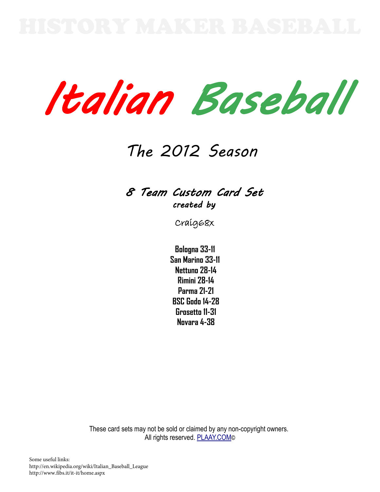Italian Baseball

# The 2012 Season

## 8 Team Custom Card Set created by

Craig68x

**Bologna 33-11 San Marino 33-11 Nettuno 28-14 Rimini 28-14 Parma 21-21 BSC Godo 14-28 Grosetto 11-31 Novara 4-38**

These card sets may not be sold or claimed by any non-copyright owners. All rights reserved. [PLAAY.COM](http://plaay.com/)<sup>©</sup>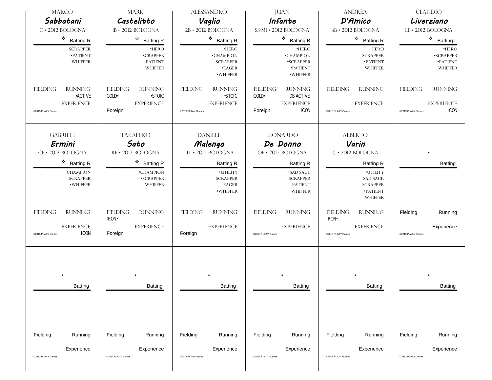| <b>MARCO</b><br>Sabbatani                                                                     | <b>MARK</b><br>Castelitto                                                                   | <b>ALESSANDRO</b><br>Vaglio                                                                  | <b>JUAN</b><br>Infante                                                                                        | <b>ANDREA</b><br>D'Amico                                                                         | <b>CLAUDIO</b><br>Liverziano                                                               |
|-----------------------------------------------------------------------------------------------|---------------------------------------------------------------------------------------------|----------------------------------------------------------------------------------------------|---------------------------------------------------------------------------------------------------------------|--------------------------------------------------------------------------------------------------|--------------------------------------------------------------------------------------------|
| $C \cdot 2012$ BOLOGNA                                                                        | 1B · 2012 BOLOGNA                                                                           | 2B · 2012 BOLOGNA                                                                            | SS/MI · 2012 BOLOGNA                                                                                          | 3B · 2012 BOLOGNA                                                                                | LF · 2012 BOLOGNA                                                                          |
| ٠<br><b>Batting R</b>                                                                         | 樂<br><b>Batting R</b>                                                                       | $\bullet$ Batting R                                                                          | $\mathcal{L}_{\mathcal{P}}$<br><b>Batting B</b>                                                               | $\bullet$ Batting R                                                                              | 豪<br><b>Batting L</b>                                                                      |
| <b>SCRAPPER</b><br><b>•PATIENT</b><br>WHIFFER                                                 | $•$ HERO<br><b>SCRAPPER</b><br><b>PATIENT</b><br><b>WHIFFER</b>                             | ·HERO<br>•CHAMPION<br><b>SCRAPPER</b><br><b>•EAGER</b><br>·WHIFFER                           | $•$ HERO<br>•CHAMPION<br>·SCRAPPER<br><b>•PATIENT</b><br>·WHIFFER                                             | <b>HERO</b><br><b>SCRAPPER</b><br>$\mathbf{\bullet}$ PATIENT<br>WHIFFER                          | $•$ HERO<br><b>•SCRAPPER</b><br>$\mathbf{\bullet}$ PATIENT<br>WHIFFER                      |
| <b>RUNNING</b><br><b>FIELDING</b><br><b>•ACTIVE</b><br><b>EXPERIENCE</b><br>@2013 PLAAY Games | <b>FIELDING</b><br><b>RUNNING</b><br><b>-STOIC</b><br>GOLD.<br><b>EXPERIENCE</b><br>Foreign | <b>FIELDING</b><br><b>RUNNING</b><br><b>-STOIC</b><br><b>EXPERIENCE</b><br>@2013 PLAAY Games | <b>FIELDING</b><br><b>RUNNING</b><br>GOLD-<br><b>DB ACTIVE</b><br><b>EXPERIENCE</b><br><b>ICON</b><br>Foreign | <b>RUNNING</b><br><b>FIELDING</b><br><b>EXPERIENCE</b><br>@2013 PLAAY Games                      | <b>FIELDING</b><br><b>RUNNING</b><br><b>EXPERIENCE</b><br><b>ICON</b><br>@2013 PLAAY Games |
| <b>GABRIELE</b><br>Ermini<br>CF · 2012 BOLOGNA                                                | <b>TAKAHIKO</b><br>Sato<br>RF · 2012 BOLOGNA                                                | <b>DANIELE</b><br>Malengo<br>UT · 2012 BOLOGNA                                               | <b>LEONARDO</b><br>De Donno<br>OF • 2012 BOLOGNA                                                              | <b>ALBERTO</b><br>Varin<br>$C \cdot 2012$ BOLOGNA                                                |                                                                                            |
| $\bullet$ Batting R<br><b>CHAMPION</b><br><b>SCRAPPER</b><br>·WHIFFER                         | $\ddot{\phi}$<br><b>Batting R</b><br>•CHAMPION<br>·SCRAPPER<br><b>WHIFFER</b>               | <b>Batting R</b><br><b>•UTILITY</b><br><b>SCRAPPER</b><br>EAGER<br>·WHIFFER                  | <b>Batting R</b><br><b>•SAD SACK</b><br><b>SCRAPPER</b><br><b>PATIENT</b><br>WHIFFER                          | <b>Batting R</b><br>·UTILITY<br><b>SAD SACK</b><br><b>SCRAPPER</b><br><b>•PATIENT</b><br>WHIFFER | <b>Batting</b>                                                                             |
| <b>RUNNING</b><br><b>FIELDING</b><br><b>EXPERIENCE</b><br><b>ICON</b><br>@2013 PLAAY Games    | <b>RUNNING</b><br><b>FIELDING</b><br><b>IRON</b><br><b>EXPERIENCE</b><br>Foreign            | <b>FIELDING</b><br><b>RUNNING</b><br><b>EXPERIENCE</b><br>Foreign                            | <b>RUNNING</b><br><b>FIELDING</b><br><b>EXPERIENCE</b><br>@2013 PLAAY Games                                   | <b>FIELDING</b><br><b>RUNNING</b><br><b>IRON</b><br><b>EXPERIENCE</b><br>@2013 PLAAY Games       | Fielding<br>Running<br>Experience<br>@2013 PLAAY Games                                     |
| Batting                                                                                       | Batting                                                                                     | Batting                                                                                      | Batting                                                                                                       | Batting                                                                                          | Batting                                                                                    |
| Fielding<br>Running<br>Experience<br>@2013 PLAAY Games                                        | Fielding<br>Running<br>Experience<br>@2013 PLAAY Games                                      | Fielding<br>Running<br>Experience<br>@2013 PLAAY Games                                       | Fielding<br>Running<br>Experience<br>@2013 PLAAY Games                                                        | Fielding<br>Running<br>Experience<br>@2013 PLAAY Games                                           | Fielding<br>Running<br>Experience<br>@2013 PLAAY Games                                     |
|                                                                                               |                                                                                             |                                                                                              |                                                                                                               |                                                                                                  |                                                                                            |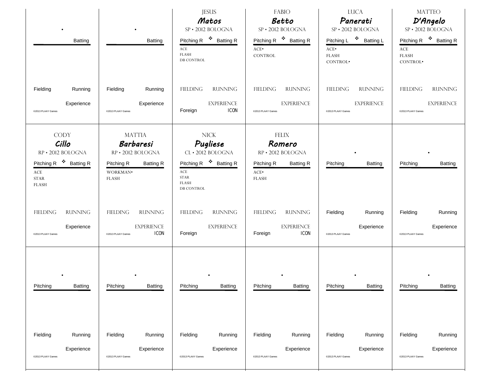| Batting                                                                                                                                                                     | Batting                                                                                                                                            | <b>JESUS</b><br>Matos<br>SP · 2012 BOLOGNA<br>Pitching R <sup>❖</sup> Batting R<br>$\operatorname{ACE}$<br><b>FLASH</b><br><b>DB CONTROL</b>                                                           | FABIO<br>Betto<br>SP · 2012 BOLOGNA<br>Pitching R <sup>\$</sup> Batting R<br>$\text{ACE}^\bullet$<br><b>CONTROL</b>          | <b>LUCA</b><br>Panerati<br>SP · 2012 BOLOGNA<br>Pitching L <sup>❖</sup> Batting L<br>ACE.<br><b>FLASH</b><br>CONTROL <sup>.</sup> | <b>MATTEO</b><br>D'Angelo<br>SP · 2012 BOLOGNA<br>Pitching R <sup>\$</sup> Batting R<br>$\operatorname{ACE}$<br><b>FLASH</b><br>CONTROL <sup>.</sup> |
|-----------------------------------------------------------------------------------------------------------------------------------------------------------------------------|----------------------------------------------------------------------------------------------------------------------------------------------------|--------------------------------------------------------------------------------------------------------------------------------------------------------------------------------------------------------|------------------------------------------------------------------------------------------------------------------------------|-----------------------------------------------------------------------------------------------------------------------------------|------------------------------------------------------------------------------------------------------------------------------------------------------|
| Fielding<br>Running<br>Experience<br>@2013 PLAAY Games                                                                                                                      | Fielding<br>Running<br>Experience<br>@2013 PLAAY Games                                                                                             | <b>FIELDING</b><br><b>RUNNING</b><br><b>EXPERIENCE</b><br><b>ICON</b><br>Foreign                                                                                                                       | <b>FIELDING</b><br><b>RUNNING</b><br><b>EXPERIENCE</b><br>@2013 PLAAY Games                                                  | <b>FIELDING</b><br><b>RUNNING</b><br><b>EXPERIENCE</b><br>@2013 PLAAY Games                                                       | <b>FIELDING</b><br><b>RUNNING</b><br><b>EXPERIENCE</b><br>@2013 PLAAY Games                                                                          |
| <b>CODY</b><br>Cillo<br>RP · 2012 BOLOGNA<br>Pitching R <sup>\$</sup> Batting R<br>$\operatorname{ACE}$<br><b>STAR</b><br><b>FLASH</b><br><b>RUNNING</b><br><b>FIELDING</b> | <b>MATTIA</b><br>Barbaresi<br>RP · 2012 BOLOGNA<br>Pitching R<br><b>Batting R</b><br>WORKMAN·<br><b>FLASH</b><br><b>RUNNING</b><br><b>FIELDING</b> | <b>NICK</b><br>Pugliese<br>CL · 2012 BOLOGNA<br>Pitching R <sup>\$</sup> Batting R<br>$\operatorname{ACE}$<br>$\operatorname{STAR}$<br><b>FLASH</b><br>DB CONTROL<br><b>FIELDING</b><br><b>RUNNING</b> | <b>FELIX</b><br>Romero<br>RP · 2012 BOLOGNA<br>Pitching R<br><b>Batting R</b><br>ACE.<br><b>FLASH</b><br>FIELDING<br>RUNNING | <b>Batting</b><br>Pitching<br>Fielding<br>Running                                                                                 | Pitching<br>Batting<br>Fielding<br>Running                                                                                                           |
| Experience<br>@2013 PLAAY Games                                                                                                                                             | <b>EXPERIENCE</b><br><b>ICON</b><br>@2013 PLAAY Games                                                                                              | <b>EXPERIENCE</b><br>Foreign                                                                                                                                                                           | <b>EXPERIENCE</b><br><b>ICON</b><br>Foreign                                                                                  | Experience<br>@2013 PLAAY Games                                                                                                   | Experience<br>@2013 PLAAY Games                                                                                                                      |
| Pitching<br>Batting                                                                                                                                                         | Pitching<br>Batting                                                                                                                                | Pitching<br><b>Batting</b>                                                                                                                                                                             | Pitching<br>Batting                                                                                                          | Pitching<br>Batting                                                                                                               | Pitching<br>Batting                                                                                                                                  |
| Fielding<br>Running<br>Experience<br>@2013 PLAAY Games                                                                                                                      | Fielding<br>Running<br>Experience<br>@2013 PLAAY Games                                                                                             | Fielding<br>Running<br>Experience<br>@2013 PLAAY Games                                                                                                                                                 | Fielding<br>Running<br>Experience<br>@2013 PLAAY Games                                                                       | Fielding<br>Running<br>Experience<br>@2013 PLAAY Games                                                                            | Fielding<br>Running<br>Experience<br>@2013 PLAAY Games                                                                                               |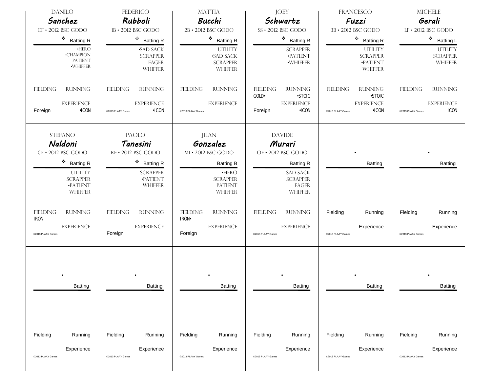| <b>DANILO</b><br>Sanchez                                                                                                                    | FEDERICO<br><b>Rubboli</b>                                                                                                    | <b>MATTIA</b><br>Bucchi                                                                                                           | <b>JOEY</b><br>Schwartz                                                                                                            | <b>FRANCESCO</b><br>Fuzzi                                                                                    | <b>MICHELE</b><br>Gerali                                                                   |
|---------------------------------------------------------------------------------------------------------------------------------------------|-------------------------------------------------------------------------------------------------------------------------------|-----------------------------------------------------------------------------------------------------------------------------------|------------------------------------------------------------------------------------------------------------------------------------|--------------------------------------------------------------------------------------------------------------|--------------------------------------------------------------------------------------------|
| CF · 2012 BSC GODO                                                                                                                          | 1B · 2012 BSC GODO                                                                                                            | 2B · 2012 BSC GODO                                                                                                                | SS · 2012 BSC GODO                                                                                                                 | 3B · 2012 BSC GODO                                                                                           | LF · 2012 BSC GODO                                                                         |
| $\bullet$ Batting R<br>$\cdot$ HERO<br>$\mbox{\bf -CHAMPION}$<br><b>PATIENT</b><br><b>·WHIFFER</b>                                          | $\bullet$ Batting R<br><b>-SAD SACK</b><br><b>SCRAPPER</b><br>EAGER<br><b>WHIFFER</b>                                         | $\bullet$ Batting R<br><b>UTILITY</b><br><b>-SAD SACK</b><br><b>SCRAPPER</b><br><b>WHIFFER</b>                                    | ٠<br><b>Batting R</b><br><b>SCRAPPER</b><br>·PATIENT<br>·WHIFFER                                                                   | $\bullet$ Batting R<br><b>UTILITY</b><br><b>SCRAPPER</b><br>·PATIENT<br><b>WHIFFER</b>                       | ※<br><b>Batting L</b><br><b>UTILITY</b><br><b>SCRAPPER</b><br><b>WHIFFER</b>               |
| <b>FIELDING</b><br><b>RUNNING</b><br><b>EXPERIENCE</b><br>$\cdot$ ICON<br>Foreign                                                           | <b>FIELDING</b><br><b>RUNNING</b><br><b>EXPERIENCE</b><br>$\cdot$ ICON<br>@2013 PLAAY Games                                   | <b>FIELDING</b><br><b>RUNNING</b><br><b>EXPERIENCE</b><br>@2013 PLAAY Games                                                       | <b>FIELDING</b><br><b>RUNNING</b><br>GOLD-<br><b>.STOIC</b><br><b>EXPERIENCE</b><br>Foreign<br>$\cdot$ ICON                        | <b>FIELDING</b><br><b>RUNNING</b><br><b>.STOIC</b><br><b>EXPERIENCE</b><br>$\cdot$ ICON<br>@2013 PLAAY Games | <b>FIELDING</b><br><b>RUNNING</b><br><b>EXPERIENCE</b><br><b>ICON</b><br>@2013 PLAAY Games |
| <b>STEFANO</b><br>Naldoni<br>CF · 2012 BSC GODO<br>۰<br><b>Batting R</b><br><b>UTILITY</b><br><b>SCRAPPER</b><br><b>•PATIENT</b><br>WHIFFER | <b>PAOLO</b><br>Tanesini<br>RF · 2012 BSC GODO<br>$\bullet$ Batting R<br><b>SCRAPPER</b><br><b>•PATIENT</b><br><b>WHIFFER</b> | <b>JUAN</b><br>Gonzalez<br>MI · 2012 BSC GODO<br><b>Batting B</b><br>$\cdot$ HERO<br><b>SCRAPPER</b><br><b>PATIENT</b><br>WHIFFER | <b>DAVIDE</b><br>Murari<br>OF • 2012 BSC GODO<br><b>Batting R</b><br><b>SAD SACK</b><br><b>SCRAPPER</b><br>EAGER<br><b>WHIFFER</b> | <b>Batting</b>                                                                                               | Batting                                                                                    |
| <b>RUNNING</b><br><b>FIELDING</b><br><b>IRON</b><br><b>EXPERIENCE</b><br>@2013 PLAAY Games                                                  | <b>FIELDING</b><br><b>RUNNING</b><br><b>EXPERIENCE</b><br>Foreign                                                             | <b>FIELDING</b><br><b>RUNNING</b><br><b>IRON</b><br><b>EXPERIENCE</b><br>Foreign                                                  | <b>FIELDING</b><br><b>RUNNING</b><br><b>EXPERIENCE</b><br>@2013 PLAAY Games                                                        | Fielding<br>Running<br>Experience<br>@2013 PLAAY Games                                                       | Running<br>Fielding<br>Experience<br>@2013 PLAAY Games                                     |
| Batting                                                                                                                                     | Batting                                                                                                                       | Batting                                                                                                                           | Batting                                                                                                                            | Batting                                                                                                      | Batting                                                                                    |
| Fielding<br>Running<br>Experience<br>@2013 PLAAY Games                                                                                      | Fielding<br>Running<br>Experience<br>@2013 PLAAY Games                                                                        | Fielding<br>Running<br>Experience<br>@2013 PLAAY Games                                                                            | Fielding<br>Running<br>Experience<br>@2013 PLAAY Games                                                                             | Fielding<br>Running<br>Experience<br>@2013 PLAAY Games                                                       | Fielding<br>Running<br>Experience<br>@2013 PLAAY Games                                     |
|                                                                                                                                             |                                                                                                                               |                                                                                                                                   |                                                                                                                                    |                                                                                                              |                                                                                            |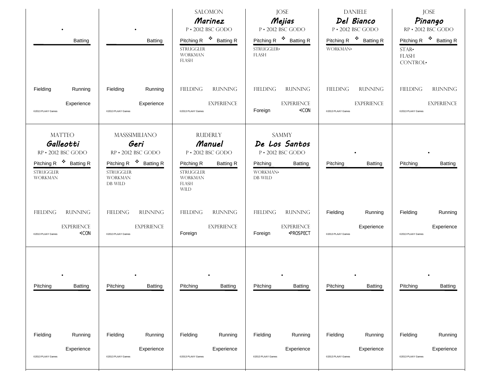| Batting                                                                                                                                                                                                              | <b>Batting</b>                                                                                                                                                                                                    | <b>SALOMON</b><br>Marinez<br>P · 2012 BSC GODO<br>Pitching R <sup>\$</sup> Batting R<br><b>STRUGGLER</b><br><b>WORKMAN</b><br>FLASH                                                                                       | <b>JOSE</b><br>Mejias<br>$P \cdot 2012$ BSC GODO<br>Pitching R <sup>\$</sup> Batting R<br>STRUGGLER-<br><b>FLASH</b>                                                                      | <b>DANIELE</b><br>Del Bianco<br>P · 2012 BSC GODO<br>Pitching R <sup>\$</sup> Batting R<br>WORKMAN. | <b>JOSE</b><br>Pinango<br>RP · 2012 BSC GODO<br>Pitching R <sup>\$</sup> Batting R<br>$STAR-$<br><b>FLASH</b><br>CONTROL. |
|----------------------------------------------------------------------------------------------------------------------------------------------------------------------------------------------------------------------|-------------------------------------------------------------------------------------------------------------------------------------------------------------------------------------------------------------------|---------------------------------------------------------------------------------------------------------------------------------------------------------------------------------------------------------------------------|-------------------------------------------------------------------------------------------------------------------------------------------------------------------------------------------|-----------------------------------------------------------------------------------------------------|---------------------------------------------------------------------------------------------------------------------------|
| Fielding<br>Running<br>Experience<br>@2013 PLAAY Games                                                                                                                                                               | Fielding<br>Running<br>Experience<br>@2013 PLAAY Games                                                                                                                                                            | <b>FIELDING</b><br><b>RUNNING</b><br><b>EXPERIENCE</b><br>@2013 PLAAY Games                                                                                                                                               | <b>FIELDING</b><br><b>RUNNING</b><br><b>EXPERIENCE</b><br>Foreign<br>$\cdot$ ICON                                                                                                         | <b>RUNNING</b><br>FIELDING<br><b>EXPERIENCE</b><br>@2013 PLAAY Games                                | <b>FIELDING</b><br><b>RUNNING</b><br><b>EXPERIENCE</b><br>@2013 PLAAY Games                                               |
| <b>MATTEO</b><br>Galleotti<br>RP · 2012 BSC GODO<br>Pitching R <sup>\$</sup> Batting R<br><b>STRUGGLER</b><br><b>WORKMAN</b><br><b>RUNNING</b><br><b>FIELDING</b><br><b>EXPERIENCE</b><br>•ICON<br>@2013 PLAAY Games | MASSSIMILIANO<br>Geri<br>RP · 2012 BSC GODO<br>Pitching R <sup>\$</sup> Batting R<br><b>STRUGGLER</b><br><b>WORKMAN</b><br>DB WILD<br><b>RUNNING</b><br><b>FIELDING</b><br><b>EXPERIENCE</b><br>@2013 PLAAY Games | <b>RUDERLY</b><br>Manuel<br>P · 2012 BSC GODO<br>Pitching R<br><b>Batting R</b><br><b>STRUGGLER</b><br><b>WORKMAN</b><br><b>FLASH</b><br><b>WILD</b><br><b>FIELDING</b><br><b>RUNNING</b><br><b>EXPERIENCE</b><br>Foreign | <b>SAMMY</b><br>De Los Santos<br>P · 2012 BSC GODO<br>Pitching<br>Batting<br>WORKMAN.<br>DB WILD<br><b>RUNNING</b><br><b>FIELDING</b><br><b>EXPERIENCE</b><br>Foreign<br><b>•PROSPECT</b> | Pitching<br><b>Batting</b><br>Fielding<br>Running<br>Experience<br>@2013 PLAAY Games                | Pitching<br><b>Batting</b><br>Running<br>Fielding<br>Experience<br>@2013 PLAAY Games                                      |
| Pitching<br>Batting                                                                                                                                                                                                  | Pitching<br>Batting                                                                                                                                                                                               | Pitching<br>Batting                                                                                                                                                                                                       | Pitching<br><b>Batting</b>                                                                                                                                                                | Pitching<br><b>Batting</b>                                                                          | Pitching<br>Batting                                                                                                       |
| Fielding<br>Running<br>Experience<br>@2013 PLAAY Games                                                                                                                                                               | Fielding<br>Running<br>Experience<br>@2013 PLAAY Games                                                                                                                                                            | Fielding<br>Running<br>Experience<br>@2013 PLAAY Games                                                                                                                                                                    | Fielding<br>Running<br>Experience<br>@2013 PLAAY Games                                                                                                                                    | Fielding<br>Running<br>Experience<br>@2013 PLAAY Games                                              | Fielding<br>Running<br>Experience<br>@2013 PLAAY Games                                                                    |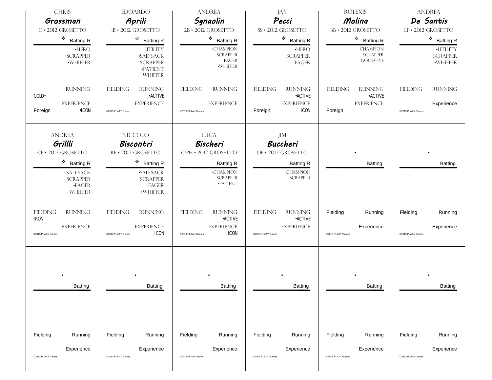| <b>CHRIS</b><br>Grossman                                                                                                           | <b>EDOARDO</b><br>Aprili                                                                                                             | <b>ANDREA</b><br>Sgnaolin                                                                                       | JAY<br>Pecci                                                                                           | <b>ROLEXIS</b><br>Molina                                                            | <b>ANDREA</b><br>De Santis                                           |
|------------------------------------------------------------------------------------------------------------------------------------|--------------------------------------------------------------------------------------------------------------------------------------|-----------------------------------------------------------------------------------------------------------------|--------------------------------------------------------------------------------------------------------|-------------------------------------------------------------------------------------|----------------------------------------------------------------------|
| $C \cdot 2012$ GROSETTO                                                                                                            | 1B · 2012 GROSETTO                                                                                                                   | 2B · 2012 GROSETTO                                                                                              | SS · 2012 GROSETTO                                                                                     | 3B · 2012 GROSETTO                                                                  | LF · 2012 GROSETTO                                                   |
| ٠<br><b>Batting R</b><br>$\cdot$ HERO<br><b>-SCRAPPER</b><br>·WHIFFER                                                              | ٠<br><b>Batting R</b><br><b>UTILITY</b><br><b>-SAD SACK</b><br><b>SCRAPPER</b><br>·PATIENT<br>WHIFFER                                | $\bullet$ Batting R<br><b>-CHAMPION</b><br><b>SCRAPPER</b><br>$\mathop{\rm EAGER}\nolimits$<br>·WHIFFER         | ٠<br><b>Batting B</b><br>$\bullet$ HERO<br><b>SCRAPPER</b><br>EAGER                                    | $\bullet$ Batting R<br><b>CHAMPION</b><br><b>SCRAPPER</b><br><b>GOOD EYE</b>        | $\cdot$ Batting R<br>·UTILITY<br><b>SCRAPPER</b><br>$\cdot$ WHIFFER  |
| <b>RUNNING</b><br>GOLD-<br><b>EXPERIENCE</b><br>$\cdot$ ICON<br>Foreign                                                            | <b>FIELDING</b><br><b>RUNNING</b><br><b>•ACTIVE</b><br><b>EXPERIENCE</b><br>@2013 PLAAY Games                                        | <b>FIELDING</b><br><b>RUNNING</b><br><b>EXPERIENCE</b><br>@2013 PLAAY Games                                     | <b>FIELDING</b><br><b>RUNNING</b><br><b>•ACTIVE</b><br><b>EXPERIENCE</b><br><b>ICON</b><br>Foreign     | <b>FIELDING</b><br><b>RUNNING</b><br><b>•ACTIVE</b><br><b>EXPERIENCE</b><br>Foreign | <b>FIELDING</b><br><b>RUNNING</b><br>Experience<br>@2013 PLAAY Games |
| <b>ANDREA</b><br>Grillli<br>CF · 2012 GROSETTO<br>٠<br><b>Batting R</b><br>SAD SACK<br><b>SCRAPPER</b><br>$\cdot$ EAGER<br>WHIFFER | <b>NICCOLO</b><br>Biscontri<br>RF · 2012 GROSETTO<br>$\bullet$ Batting R<br><b>-SAD SACK</b><br><b>SCRAPPER</b><br>EAGER<br>·WHIFFER | <b>LUCA</b><br>Bischeri<br>C/PH · 2012 GROSETTO<br><b>Batting R</b><br>•CHAMPION<br><b>SCRAPPER</b><br>·PATIENT | JIM<br><b>Buccheri</b><br>OF · 2012 GROSETTO<br><b>Batting R</b><br><b>CHAMPION</b><br><b>SCRAPPER</b> | Batting                                                                             | Batting                                                              |
| <b>FIELDING</b><br><b>RUNNING</b><br><b>IRON</b><br><b>EXPERIENCE</b><br>@2013 PLAAY Games                                         | <b>FIELDING</b><br><b>RUNNING</b><br><b>EXPERIENCE</b><br><b>ICON</b><br>@2013 PLAAY Games                                           | <b>RUNNING</b><br><b>FIELDING</b><br><b>•ACTIVE</b><br><b>EXPERIENCE</b><br><b>ICON</b><br>@2013 PLAAY Games    | <b>RUNNING</b><br><b>FIELDING</b><br><b>•ACTIVE</b><br><b>EXPERIENCE</b><br>@2013 PLAAY Games          | Fielding<br>Running<br>Experience<br>@2013 PLAAY Games                              | Running<br>Fielding<br>Experience<br>@2013 PLAAY Games               |
| Batting                                                                                                                            | Batting                                                                                                                              | Batting                                                                                                         | Batting                                                                                                | Batting                                                                             | Batting                                                              |
| Fielding<br>Running<br>Experience<br>@2013 PLAAY Games                                                                             | Fielding<br>Running<br>Experience<br>@2013 PLAAY Games                                                                               | Fielding<br>Running<br>Experience<br>@2013 PLAAY Games                                                          | Fielding<br>Running<br>Experience<br>@2013 PLAAY Games                                                 | Fielding<br>Running<br>Experience<br>@2013 PLAAY Games                              | Fielding<br>Running<br>Experience<br>@2013 PLAAY Games               |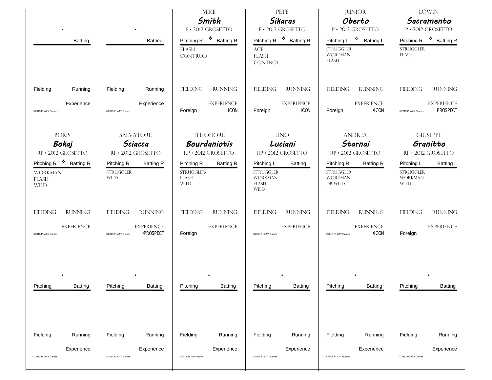| $\bullet$<br>Batting                                                                                                              | Batting                                                                                                                | <b>MIKE</b><br>Smith<br>P · 2012 GROSETTO<br>Pitching R <sup>\$</sup> Batting R<br><b>FLASH</b><br>CONTROL·                          | PETE<br>Sikaras<br>P · 2012 GROSETTO<br>Pitching R <sup>\$</sup> Batting R<br>$\mathbf{ACE}$<br><b>FLASH</b>                                        | <b>JUNIOR</b><br>Oberto<br>P · 2012 GROSETTO<br>Pitching L <sup>❖</sup> Batting L<br><b>STRUGGLER</b><br><b>WORKMAN</b><br>FLASH  | <b>LOWIN</b><br>Sacramento<br>P · 2012 GROSETTO<br>Pitching R <sup>\$</sup> Batting R<br><b>STRUGGLER</b><br><b>FLASH</b>                |
|-----------------------------------------------------------------------------------------------------------------------------------|------------------------------------------------------------------------------------------------------------------------|--------------------------------------------------------------------------------------------------------------------------------------|-----------------------------------------------------------------------------------------------------------------------------------------------------|-----------------------------------------------------------------------------------------------------------------------------------|------------------------------------------------------------------------------------------------------------------------------------------|
| Fielding<br>Running<br>Experience<br>@2013 PLAAY Games                                                                            | Fielding<br>Running<br>Experience<br>@2013 PLAAY Games                                                                 | <b>FIELDING</b><br><b>RUNNING</b><br><b>EXPERIENCE</b><br><b>ICON</b><br>Foreign                                                     | <b>CONTROL</b><br><b>RUNNING</b><br><b>FIELDING</b><br><b>EXPERIENCE</b><br><b>ICON</b><br>Foreign                                                  | <b>FIELDING</b><br><b>RUNNING</b><br><b>EXPERIENCE</b><br><b>•ICON</b><br>Foreign                                                 | FIELDING<br><b>RUNNING</b><br><b>EXPERIENCE</b><br><b>PROSPECT</b><br>@2013 PLAAY Games                                                  |
| <b>BORIS</b><br>Bokaj<br>RP · 2012 GROSETTO<br>Pitching R <sup>❖</sup> Batting R<br><b>WORKMAN</b><br><b>FLASH</b><br><b>WILD</b> | <b>SALVATORE</b><br>Sciacca<br>RP · 2012 GROSETTO<br>Pitching R<br><b>Batting R</b><br><b>STRUGGLER</b><br><b>WILD</b> | <b>THEODORE</b><br>Bourdaniotis<br>RP · 2012 GROSETTO<br>Pitching R<br><b>Batting R</b><br>STRUGGLER-<br><b>FLASH</b><br><b>WILD</b> | <b>LINO</b><br>Luciani<br>RP · 2012 GROSETTO<br>Pitching L<br><b>Batting L</b><br><b>STRUGGLER</b><br><b>WORKMAN</b><br><b>FLASH</b><br><b>WILD</b> | <b>ANDREA</b><br>Starnai<br>RP · 2012 GROSETTO<br>Pitching R<br><b>Batting R</b><br><b>STRUGGLER</b><br><b>WORKMAN</b><br>DB WILD | <b>GIUSEPPE</b><br>Granitto<br>RP · 2012 GROSETTO<br>Pitching L<br><b>Batting L</b><br><b>STRUGGLER</b><br><b>WORKMAN</b><br><b>WILD</b> |
| <b>RUNNING</b><br><b>FIELDING</b><br><b>EXPERIENCE</b><br>@2013 PLAAY Games                                                       | <b>FIELDING</b><br><b>RUNNING</b><br><b>EXPERIENCE</b><br><b>•PROSPECT</b><br>@2013 PLAAY Games                        | <b>FIELDING</b><br><b>RUNNING</b><br><b>EXPERIENCE</b><br>Foreign                                                                    | <b>RUNNING</b><br>FIELDING<br><b>EXPERIENCE</b><br>@2013 PLAAY Games                                                                                | <b>FIELDING</b><br><b>RUNNING</b><br><b>EXPERIENCE</b><br>$-ICON$<br>@2013 PLAAY Games                                            | <b>FIELDING</b><br><b>RUNNING</b><br><b>EXPERIENCE</b><br>Foreign                                                                        |
| Pitching<br>Batting                                                                                                               | Pitching<br>Batting                                                                                                    | Pitching<br>Batting                                                                                                                  | Pitching<br>Batting                                                                                                                                 | Pitching<br>Batting                                                                                                               | Pitching<br>Batting                                                                                                                      |
| Fielding<br>Running<br>Experience<br>@2013 PLAAY Games                                                                            | Fielding<br>Running<br>Experience<br>@2013 PLAAY Games                                                                 | Fielding<br>Running<br>Experience<br>@2013 PLAAY Games                                                                               | Fielding<br>Running<br>Experience<br>@2013 PLAAY Games                                                                                              | Fielding<br>Running<br>Experience<br>@2013 PLAAY Games                                                                            | Fielding<br>Running<br>Experience<br>@2013 PLAAY Games                                                                                   |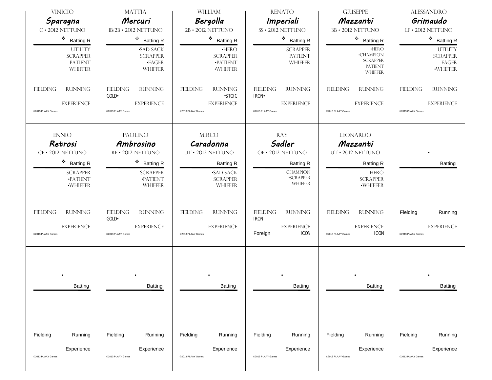| <b>VINICIO</b>                                                                            | <b>MATTIA</b>                                                                             | <b>WILLIAM</b>                                                                               | <b>RENATO</b>                                                                              | <b>GIUSEPPE</b>                                                                                         | <b>ALESSANDRO</b>                                                           |
|-------------------------------------------------------------------------------------------|-------------------------------------------------------------------------------------------|----------------------------------------------------------------------------------------------|--------------------------------------------------------------------------------------------|---------------------------------------------------------------------------------------------------------|-----------------------------------------------------------------------------|
| Sparagna<br>$C \cdot 2012$ NETTUNO                                                        | Mercuri<br>1B/2B · 2012 NETTUNO                                                           | Bergolla<br>2B · 2012 NETTUNO                                                                | Imperiali<br>SS · 2012 NETTUNO                                                             | Mazzanti<br>3B · 2012 NETTUNO                                                                           | Grimaudo<br>LF · 2012 NETTUNO                                               |
| ٠                                                                                         | 豪。                                                                                        |                                                                                              | ۰                                                                                          |                                                                                                         |                                                                             |
| <b>Batting R</b><br><b>UTILITY</b><br><b>SCRAPPER</b><br><b>PATIENT</b><br><b>WHIFFER</b> | <b>Batting R</b><br><b>SAD SACK</b><br><b>SCRAPPER</b><br>$\cdot$ EAGER<br><b>WHIFFER</b> | $\cdot$ Batting R<br>$\cdot$ HERO<br><b>SCRAPPER</b><br>·PATIENT<br>·WHIFFER                 | <b>Batting R</b><br><b>SCRAPPER</b><br><b>PATIENT</b><br>WHIFFER                           | $\cdot$ Batting R<br>$-HERO$<br><b>•CHAMPION</b><br><b>SCRAPPER</b><br><b>PATIENT</b><br><b>WHIFFER</b> | $\cdot$ Batting R<br><b>UTILITY</b><br><b>SCRAPPER</b><br>EAGER<br>·WHIFFER |
| <b>FIELDING</b><br><b>RUNNING</b><br><b>EXPERIENCE</b><br>@2013 PLAAY Games               | <b>RUNNING</b><br><b>FIELDING</b><br>GOLD-<br><b>EXPERIENCE</b><br>@2013 PLAAY Games      | <b>FIELDING</b><br><b>RUNNING</b><br><b>.STOIC</b><br><b>EXPERIENCE</b><br>@2013 PLAAY Games | <b>FIELDING</b><br><b>RUNNING</b><br><b>IRON</b><br><b>EXPERIENCE</b><br>@2013 PLAAY Games | <b>RUNNING</b><br><b>FIELDING</b><br><b>EXPERIENCE</b><br>@2013 PLAAY Games                             | <b>FIELDING</b><br><b>RUNNING</b><br><b>EXPERIENCE</b><br>@2013 PLAAY Games |
|                                                                                           |                                                                                           |                                                                                              |                                                                                            |                                                                                                         |                                                                             |
| <b>ENNIO</b><br>Retrosi<br>CF · 2012 NETTUNO<br>٠                                         | <b>PAOLINO</b><br>Ambrosino<br>RF · 2012 NETTUNO<br>۰                                     | <b>MIRCO</b><br>Caradonna<br>UT · 2012 NETTUNO                                               | <b>RAY</b><br>Sadler<br>OF • 2012 NETTUNO                                                  | <b>LEONARDO</b><br>Mazzanti<br>UT · 2012 NETTUNO                                                        |                                                                             |
| <b>Batting R</b><br><b>SCRAPPER</b><br><b>•PATIENT</b><br>·WHIFFER                        | <b>Batting R</b><br><b>SCRAPPER</b><br><b>•PATIENT</b><br><b>WHIFFER</b>                  | <b>Batting R</b><br><b>SAD SACK</b><br><b>SCRAPPER</b><br>WHIFFER                            | <b>Batting R</b><br><b>CHAMPION</b><br><b>SCRAPPER</b><br><b>WHIFFER</b>                   | <b>Batting R</b><br><b>HERO</b><br><b>SCRAPPER</b><br><b>•WHIFFER</b>                                   | <b>Batting</b>                                                              |
| <b>RUNNING</b><br>FIELDING<br><b>EXPERIENCE</b><br>@2013 PLAAY Games                      | <b>FIELDING</b><br><b>RUNNING</b><br>GOLD.<br><b>EXPERIENCE</b><br>@2013 PLAAY Games      | <b>FIELDING</b><br><b>RUNNING</b><br><b>EXPERIENCE</b><br>@2013 PLAAY Games                  | FIELDING<br><b>RUNNING</b><br><b>IRON</b><br><b>EXPERIENCE</b><br><b>ICON</b><br>Foreign   | <b>FIELDING</b><br><b>RUNNING</b><br><b>EXPERIENCE</b><br><b>ICON</b><br>@2013 PLAAY Games              | Fielding<br>Running<br><b>EXPERIENCE</b><br>@2013 PLAAY Games               |
| Batting                                                                                   | Batting                                                                                   | Batting                                                                                      | Batting                                                                                    | Batting                                                                                                 | Batting                                                                     |
| Fielding<br>Running<br>Experience<br>@2013 PLAAY Games                                    | Fielding<br>Running<br>Experience<br>@2013 PLAAY Games                                    | Fielding<br>Running<br>Experience<br>@2013 PLAAY Games                                       | Fielding<br>Running<br>Experience<br>@2013 PLAAY Games                                     | Fielding<br>Running<br>Experience<br>@2013 PLAAY Games                                                  | Fielding<br>Running<br>Experience<br>@2013 PLAAY Games                      |
|                                                                                           |                                                                                           |                                                                                              |                                                                                            |                                                                                                         |                                                                             |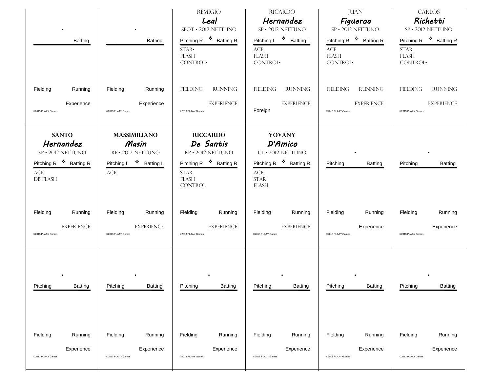| Batting                                                                                                                         | Batting                                                                                                             | <b>REMIGIO</b><br>Leal<br>${\rm SPOT}$ • 2012 NETTUNO<br>Pitching R <sup>\$</sup> Batting R<br>$STAR-$<br><b>FLASH</b><br>CONTROL.       | <b>RICARDO</b><br>Hernandez<br>SP · 2012 NETTUNO<br>Pitching L <sup>❖</sup> Batting L<br>$\mathbf{ACE}$<br><b>FLASH</b><br>CONTROL·         | <b>JUAN</b><br>Figueroa<br>SP · 2012 NETTUNO<br>Pitching R <sup>\$</sup> Batting R<br>$\mathbf{ACE}$<br><b>FLASH</b><br>CONTROL. | <b>CARLOS</b><br>Richetti<br>SP · 2012 NETTUNO<br>Pitching R <sup>❖</sup> Batting R<br><b>STAR</b><br><b>FLASH</b><br>CONTROL· |
|---------------------------------------------------------------------------------------------------------------------------------|---------------------------------------------------------------------------------------------------------------------|------------------------------------------------------------------------------------------------------------------------------------------|---------------------------------------------------------------------------------------------------------------------------------------------|----------------------------------------------------------------------------------------------------------------------------------|--------------------------------------------------------------------------------------------------------------------------------|
| Fielding                                                                                                                        | Fielding                                                                                                            | ${\sf FIEDING}$                                                                                                                          | <b>FIELDING</b>                                                                                                                             | <b>RUNNING</b>                                                                                                                   | FIELDING                                                                                                                       |
| Running                                                                                                                         | Running                                                                                                             | <b>RUNNING</b>                                                                                                                           | <b>RUNNING</b>                                                                                                                              | <b>FIELDING</b>                                                                                                                  | <b>RUNNING</b>                                                                                                                 |
| Experience                                                                                                                      | Experience                                                                                                          | <b>EXPERIENCE</b>                                                                                                                        | <b>EXPERIENCE</b>                                                                                                                           | <b>EXPERIENCE</b>                                                                                                                | <b>EXPERIENCE</b>                                                                                                              |
| @2013 PLAAY Games                                                                                                               | @2013 PLAAY Games                                                                                                   | @2013 PLAAY Games                                                                                                                        | Foreign                                                                                                                                     | @2013 PLAAY Games                                                                                                                | @2013 PLAAY Games                                                                                                              |
| <b>SANTO</b><br>Hernandez<br>SP · 2012 NETTUNO<br>Pitching R <sup>\$</sup> Batting R<br>$\operatorname{ACE}$<br><b>DB FLASH</b> | <b>MASSIMILIANO</b><br>Masin<br>RP · 2012 NETTUNO<br>Pitching L <sup>❖</sup> Batting L<br>$\ensuremath{\text{ACE}}$ | <b>RICCARDO</b><br>De Santis<br>RP · 2012 NETTUNO<br>Pitching R <sup>\$</sup> Batting R<br><b>STAR</b><br><b>FLASH</b><br><b>CONTROL</b> | <b>YOVANY</b><br><b>D'Amico</b><br>CL · 2012 NETTUNO<br>Pitching R <sup>\$</sup> Batting R<br>$\mathbf{ACE}$<br><b>STAR</b><br><b>FLASH</b> | Pitching<br><b>Batting</b>                                                                                                       | Pitching<br><b>Batting</b>                                                                                                     |
| Fielding                                                                                                                        | Fielding                                                                                                            | Fielding                                                                                                                                 | Fielding                                                                                                                                    | Fielding                                                                                                                         | Fielding                                                                                                                       |
| Running                                                                                                                         | Running                                                                                                             | Running                                                                                                                                  | Running                                                                                                                                     | Running                                                                                                                          | Running                                                                                                                        |
| <b>EXPERIENCE</b>                                                                                                               | <b>EXPERIENCE</b>                                                                                                   | <b>EXPERIENCE</b>                                                                                                                        | <b>EXPERIENCE</b>                                                                                                                           | Experience                                                                                                                       | Experience                                                                                                                     |
| @2013 PLAAY Games                                                                                                               | @2013 PLAAY Games                                                                                                   | @2013 PLAAY Games                                                                                                                        | @2013 PLAAY Games                                                                                                                           | @2013 PLAAY Games                                                                                                                | @2013 PLAAY Games                                                                                                              |
| Pitching                                                                                                                        | Pitching                                                                                                            | Pitching                                                                                                                                 | Pitching                                                                                                                                    | Pitching                                                                                                                         | Pitching                                                                                                                       |
| Batting                                                                                                                         | Batting                                                                                                             | <b>Batting</b>                                                                                                                           | Batting                                                                                                                                     | Batting                                                                                                                          | Batting                                                                                                                        |
| Fielding                                                                                                                        | Fielding                                                                                                            | Fielding                                                                                                                                 | Fielding                                                                                                                                    | Fielding                                                                                                                         | Fielding                                                                                                                       |
| Running                                                                                                                         | Running                                                                                                             | Running                                                                                                                                  | Running                                                                                                                                     | Running                                                                                                                          | Running                                                                                                                        |
| Experience                                                                                                                      | Experience                                                                                                          | Experience                                                                                                                               | Experience                                                                                                                                  | Experience                                                                                                                       | Experience                                                                                                                     |
| @2013 PLAAY Games                                                                                                               | @2013 PLAAY Games                                                                                                   | @2013 PLAAY Games                                                                                                                        | @2013 PLAAY Games                                                                                                                           | @2013 PLAAY Games                                                                                                                | @2013 PLAAY Games                                                                                                              |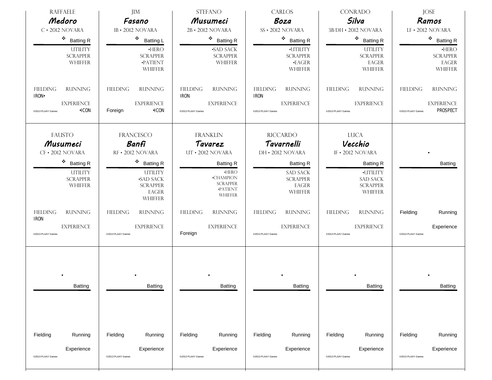| <b>RAFFAELE</b><br>Medoro                              | <b>JIM</b><br>Fasano                                                            | <b>STEFANO</b><br>Musumeci                                                        | <b>CARLOS</b><br>Boza                                          | <b>CONRADO</b><br>Silva                                          | <b>JOSE</b><br>Ramos                                              |
|--------------------------------------------------------|---------------------------------------------------------------------------------|-----------------------------------------------------------------------------------|----------------------------------------------------------------|------------------------------------------------------------------|-------------------------------------------------------------------|
| $C \cdot 2012$ NOVARA                                  | 1B · 2012 NOVARA                                                                | 2B · 2012 NOVARA                                                                  | SS · 2012 NOVARA                                               | 3B/DH · 2012 NOVARA                                              | LF · 2012 NOVARA                                                  |
| ٠<br><b>Batting R</b>                                  | ۰<br><b>Batting L</b>                                                           | $\bullet$ Batting R                                                               | ٠<br><b>Batting R</b>                                          | $\cdot$ Batting R                                                | $\bullet$ Batting R                                               |
| <b>UTILITY</b><br><b>SCRAPPER</b><br><b>WHIFFER</b>    | $\cdot$ HERO<br><b>SCRAPPER</b><br>·PATIENT<br><b>WHIFFER</b>                   | <b>SAD SACK</b><br><b>SCRAPPER</b><br>WHIFFER                                     | ·UTILITY<br><b>SCRAPPER</b><br>$\cdot$ EAGER<br><b>WHIFFER</b> | <b>UTILITY</b><br><b>SCRAPPER</b><br>EAGER<br><b>WHIFFER</b>     | $\cdot$ HERO<br><b>SCRAPPER</b><br><b>EAGER</b><br><b>WHIFFER</b> |
| <b>FIELDING</b><br><b>RUNNING</b><br><b>IRON</b>       | <b>FIELDING</b><br><b>RUNNING</b>                                               | <b>FIELDING</b><br><b>RUNNING</b><br><b>IRON</b>                                  | <b>FIELDING</b><br><b>RUNNING</b><br><b>IRON</b>               | <b>FIELDING</b><br><b>RUNNING</b>                                | <b>FIELDING</b><br><b>RUNNING</b>                                 |
| <b>EXPERIENCE</b><br>$\cdot$ ICON<br>@2013 PLAAY Games | <b>EXPERIENCE</b><br>$\cdot$ ICON<br>Foreign                                    | <b>EXPERIENCE</b><br>@2013 PLAAY Games                                            | <b>EXPERIENCE</b><br>@2013 PLAAY Games                         | <b>EXPERIENCE</b><br>@2013 PLAAY Games                           | <b>EXPERIENCE</b><br><b>PROSPECT</b><br>@2013 PLAAY Games         |
| <b>FAUSTO</b><br>Musumeci<br>CF · 2012 NOVARA          | <b>FRANCESCO</b><br>Banfi<br>RF · 2012 NOVARA                                   | <b>FRANKLIN</b><br>Tavarez<br>UT · 2012 NOVARA                                    | <b>RICCARDO</b><br>Tavarnelli<br>DH · 2012 NOVARA              | <b>LUCA</b><br>Vecchio<br>IF . 2012 NOVARA                       |                                                                   |
| ۰<br><b>Batting R</b>                                  | $\bullet$ Batting R                                                             | <b>Batting R</b>                                                                  | <b>Batting R</b>                                               | <b>Batting R</b>                                                 | <b>Batting</b>                                                    |
| <b>UTILITY</b><br><b>SCRAPPER</b><br>WHIFFER           | <b>UTILITY</b><br><b>SAD SACK</b><br><b>SCRAPPER</b><br>EAGER<br><b>WHIFFER</b> | $\cdot$ HERO<br><b>-CHAMPION</b><br><b>SCRAPPER</b><br>·PATIENT<br><b>WHIFFER</b> | <b>SAD SACK</b><br><b>SCRAPPER</b><br>EAGER<br><b>WHIFFER</b>  | ·UTILITY<br><b>SAD SACK</b><br><b>SCRAPPER</b><br><b>WHIFFER</b> |                                                                   |
| <b>RUNNING</b><br><b>FIELDING</b><br><b>IRON</b>       | <b>FIELDING</b><br><b>RUNNING</b>                                               | <b>FIELDING</b><br><b>RUNNING</b>                                                 | <b>FIELDING</b><br><b>RUNNING</b>                              | <b>FIELDING</b><br><b>RUNNING</b>                                | Fielding<br>Running                                               |
| <b>EXPERIENCE</b><br>@2013 PLAAY Games                 | <b>EXPERIENCE</b><br>@2013 PLAAY Games                                          | <b>EXPERIENCE</b><br>Foreign                                                      | <b>EXPERIENCE</b><br>@2013 PLAAY Games                         | <b>EXPERIENCE</b><br>@2013 PLAAY Games                           | Experience<br>@2013 PLAAY Games                                   |
| Batting                                                | Batting                                                                         | Batting                                                                           | Batting                                                        | Batting                                                          | Batting                                                           |
| Fielding<br>Running                                    | Fielding<br>Running                                                             | Fielding<br>Running                                                               | Fielding<br>Running                                            | Fielding<br>Running                                              | Fielding<br>Running                                               |
| Experience<br>@2013 PLAAY Games                        | Experience<br>@2013 PLAAY Games                                                 | Experience<br>@2013 PLAAY Games                                                   | Experience<br>@2013 PLAAY Games                                | Experience<br>@2013 PLAAY Games                                  | Experience<br>@2013 PLAAY Games                                   |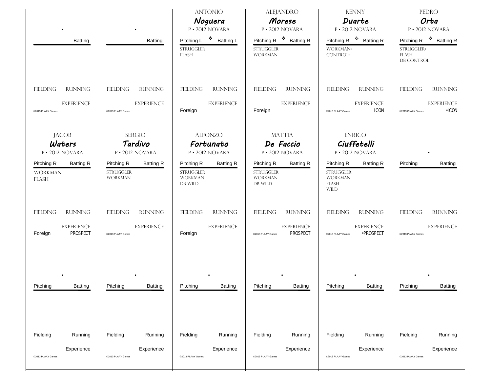| Batting                                                                                                       | Batting                                                                                                             | <b>ANTONIO</b><br>Noguera<br>P · 2012 NOVARA<br>Pitching L <sup>❖</sup> Batting L<br><b>STRUGGLER</b><br><b>FLASH</b>             | <b>ALEJANDRO</b><br>Morese<br>P · 2012 NOVARA<br>Pitching R <sup>\$</sup> Batting R<br><b>STRUGGLER</b><br><b>WORKMAN</b>        | <b>RENNY</b><br>Duarte<br>P · 2012 NOVARA<br>Pitching R <sup>❖</sup> Batting R<br>WORKMAN.<br>CONTROL.                                          | <b>PEDRO</b><br>Orta<br>P · 2012 NOVARA<br>Pitching R <sup>\$</sup> Batting R<br>STRUGGLER-<br><b>FLASH</b><br>DB CONTROL |
|---------------------------------------------------------------------------------------------------------------|---------------------------------------------------------------------------------------------------------------------|-----------------------------------------------------------------------------------------------------------------------------------|----------------------------------------------------------------------------------------------------------------------------------|-------------------------------------------------------------------------------------------------------------------------------------------------|---------------------------------------------------------------------------------------------------------------------------|
| <b>RUNNING</b><br><b>FIELDING</b><br><b>EXPERIENCE</b><br>@2013 PLAAY Games                                   | <b>RUNNING</b><br><b>FIELDING</b><br><b>EXPERIENCE</b><br>@2013 PLAAY Games                                         | <b>FIELDING</b><br><b>RUNNING</b><br><b>EXPERIENCE</b><br>Foreign                                                                 | <b>FIELDING</b><br><b>RUNNING</b><br><b>EXPERIENCE</b><br>Foreign                                                                | <b>RUNNING</b><br><b>FIELDING</b><br><b>EXPERIENCE</b><br><b>ICON</b><br>@2013 PLAAY Games                                                      | FIELDING<br><b>RUNNING</b><br><b>EXPERIENCE</b><br><b>•ICON</b><br>@2013 PLAAY Games                                      |
| <b>JACOB</b><br>Waters<br>P · 2012 NOVARA<br>Pitching R<br><b>Batting R</b><br><b>WORKMAN</b><br><b>FLASH</b> | <b>SERGIO</b><br>Tardivo<br>P · 2012 NOVARA<br>Pitching R<br><b>Batting R</b><br><b>STRUGGLER</b><br><b>WORKMAN</b> | <b>ALFONZO</b><br>Fortunato<br>P · 2012 NOVARA<br>Pitching R<br><b>Batting R</b><br><b>STRUGGLER</b><br><b>WORKMAN</b><br>DB WILD | <b>MATTIA</b><br>De Faccio<br>P · 2012 NOVARA<br>Pitching R<br><b>Batting R</b><br><b>STRUGGLER</b><br><b>WORKMAN</b><br>DB WILD | <b>ENRICO</b><br>Ciuffetelli<br>P · 2012 NOVARA<br>Pitching R<br><b>Batting R</b><br><b>STRUGGLER</b><br><b>WORKMAN</b><br>FLASH<br><b>WILD</b> | Pitching<br><b>Batting</b>                                                                                                |
| <b>FIELDING</b><br><b>RUNNING</b><br><b>EXPERIENCE</b><br><b>PROSPECT</b><br>Foreign                          | <b>FIELDING</b><br><b>RUNNING</b><br><b>EXPERIENCE</b><br>@2013 PLAAY Games                                         | <b>FIELDING</b><br><b>RUNNING</b><br><b>EXPERIENCE</b><br>Foreign                                                                 | <b>FIELDING</b><br><b>RUNNING</b><br><b>EXPERIENCE</b><br><b>PROSPECT</b><br>@2013 PLAAY Games                                   | <b>FIELDING</b><br><b>RUNNING</b><br><b>EXPERIENCE</b><br><b>•PROSPECT</b><br>@2013 PLAAY Games                                                 | FIELDING<br><b>RUNNING</b><br><b>EXPERIENCE</b><br>@2013 PLAAY Games                                                      |
| Pitching<br>Batting                                                                                           | Pitching<br>Batting                                                                                                 | Pitching<br>Batting                                                                                                               | Pitching<br>Batting                                                                                                              | Pitching<br>Batting                                                                                                                             | Pitching<br><b>Batting</b>                                                                                                |
| Fielding<br>Running<br>Experience<br>@2013 PLAAY Games                                                        | Fielding<br>Running<br>Experience<br>@2013 PLAAY Games                                                              | Fielding<br>Running<br>Experience<br>@2013 PLAAY Games                                                                            | Fielding<br>Running<br>Experience<br>@2013 PLAAY Games                                                                           | Fielding<br>Running<br>Experience<br>@2013 PLAAY Games                                                                                          | Fielding<br>Running<br>Experience<br>@2013 PLAAY Games                                                                    |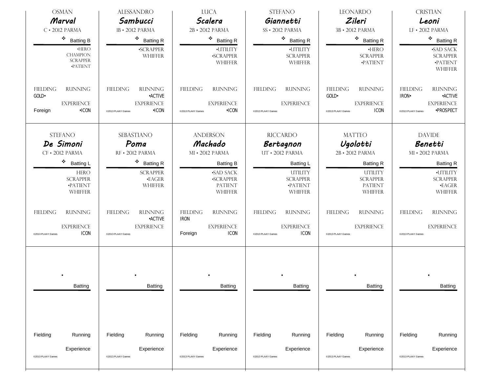| <b>OSMAN</b>                                                                               | <b>ALESSANDRO</b>                                                                                             | <b>LUCA</b>                                                                                     | <b>STEFANO</b>                                                                             | <b>LEONARDO</b>                                                                                     | <b>CRISTIAN</b>                                                                                                                  |
|--------------------------------------------------------------------------------------------|---------------------------------------------------------------------------------------------------------------|-------------------------------------------------------------------------------------------------|--------------------------------------------------------------------------------------------|-----------------------------------------------------------------------------------------------------|----------------------------------------------------------------------------------------------------------------------------------|
| Marval                                                                                     | Sambucci                                                                                                      | Scalera                                                                                         | Giannetti                                                                                  | Zileri                                                                                              | Leoni                                                                                                                            |
| $C \cdot 2012$ PARMA                                                                       | 1B · 2012 PARMA                                                                                               | 2B · 2012 PARMA                                                                                 | SS · 2012 PARMA                                                                            | 3B · 2012 PARMA                                                                                     | LF · 2012 PARMA                                                                                                                  |
| ٠<br><b>Batting B</b>                                                                      | $\bullet$ Batting R                                                                                           | $\bullet$ Batting R                                                                             | ۰<br><b>Batting R</b>                                                                      | $\bullet$ Batting R                                                                                 | $\bullet$ Batting R                                                                                                              |
| $\cdot$ HERO<br><b>CHAMPION</b><br><b>SCRAPPER</b><br><b>•PATIENT</b>                      | <b>SCRAPPER</b><br><b>WHIFFER</b>                                                                             | ·UTILITY<br><b>SCRAPPER</b><br><b>WHIFFER</b>                                                   | ·UTILITY<br><b>SCRAPPER</b><br><b>WHIFFER</b>                                              | $\cdot$ HERO<br><b>SCRAPPER</b><br>·PATIENT                                                         | <b>SAD SACK</b><br><b>SCRAPPER</b><br>·PATIENT<br><b>WHIFFER</b>                                                                 |
| <b>FIELDING</b><br><b>RUNNING</b><br>GOLD.<br><b>EXPERIENCE</b><br>$\cdot$ ICON<br>Foreign | <b>FIELDING</b><br><b>RUNNING</b><br><b>•ACTIVE</b><br><b>EXPERIENCE</b><br><b>•ICON</b><br>@2013 PLAAY Games | <b>RUNNING</b><br><b>FIELDING</b><br><b>EXPERIENCE</b><br>$\cdot$ ICON<br>@2013 PLAAY Games     | <b>FIELDING</b><br><b>RUNNING</b><br><b>EXPERIENCE</b><br>@2013 PLAAY Games                | <b>FIELDING</b><br><b>RUNNING</b><br>GOLD·<br><b>EXPERIENCE</b><br><b>ICON</b><br>@2013 PLAAY Games | <b>FIELDING</b><br><b>RUNNING</b><br><b>•ACTIVE</b><br><b>IRON</b><br><b>EXPERIENCE</b><br><b>•PROSPECT</b><br>@2013 PLAAY Games |
| <b>STEFANO</b><br>De Simoni<br>CF · 2012 PARMA                                             | <b>SEBASTIANO</b><br>Poma<br>RF · 2012 PARMA                                                                  | <b>ANDERSON</b><br>Machado<br>MI · 2012 PARMA                                                   | <b>RICCARDO</b><br>Bertagnon<br>UT · 2012 PARMA                                            | <b>MATTEO</b><br>Ugolotti<br>2B · 2012 PARMA                                                        | <b>DAVIDE</b><br>Benetti<br>MI · 2012 PARMA                                                                                      |
| ٠<br><b>Batting L</b><br><b>HERO</b><br><b>SCRAPPER</b><br>$\cdot$ PATIENT<br>WHIFFER      | ٠<br><b>Batting R</b><br><b>SCRAPPER</b><br>$\cdot$ EAGER<br><b>WHIFFER</b>                                   | <b>Batting B</b><br><b>SAD SACK</b><br><b>SCRAPPER</b><br><b>PATIENT</b><br><b>WHIFFER</b>      | Batting L<br><b>UTILITY</b><br><b>SCRAPPER</b><br>·PATIENT<br><b>WHIFFER</b>               | <b>Batting R</b><br><b>UTILITY</b><br><b>SCRAPPER</b><br><b>PATIENT</b><br><b>WHIFFER</b>           | <b>Batting R</b><br>·UTILITY<br><b>SCRAPPER</b><br>$\cdot$ EAGER<br><b>WHIFFER</b>                                               |
| <b>RUNNING</b><br><b>FIELDING</b><br><b>EXPERIENCE</b><br><b>ICON</b><br>@2013 PLAAY Games | <b>FIELDING</b><br><b>RUNNING</b><br><b>•ACTIVE</b><br><b>EXPERIENCE</b><br>@2013 PLAAY Games                 | <b>FIELDING</b><br><b>RUNNING</b><br><b>IRON</b><br><b>EXPERIENCE</b><br><b>ICON</b><br>Foreign | <b>RUNNING</b><br><b>FIELDING</b><br><b>EXPERIENCE</b><br><b>ICON</b><br>@2013 PLAAY Games | <b>RUNNING</b><br><b>FIELDING</b><br><b>EXPERIENCE</b><br>@2013 PLAAY Games                         | <b>FIELDING</b><br><b>RUNNING</b><br><b>EXPERIENCE</b><br>@2013 PLAAY Games                                                      |
| Batting                                                                                    | Batting                                                                                                       | Batting                                                                                         | Batting                                                                                    | Batting                                                                                             | Batting                                                                                                                          |
| Fielding<br>Running                                                                        | Fielding<br>Running                                                                                           | Fielding<br>Running                                                                             | Fielding<br>Running                                                                        | Fielding<br>Running                                                                                 | Fielding<br>Running                                                                                                              |
| Experience<br>@2013 PLAAY Games                                                            | Experience<br>@2013 PLAAY Games                                                                               | Experience<br>@2013 PLAAY Games                                                                 | Experience<br>@2013 PLAAY Games                                                            | Experience<br>@2013 PLAAY Games                                                                     | Experience<br>@2013 PLAAY Games                                                                                                  |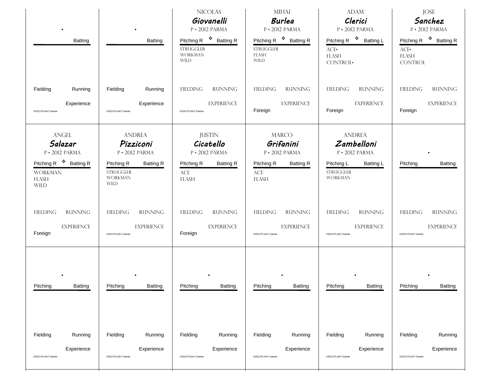| Batting                                                                                                                          | Batting                                                                                                                             | <b>NICOLAS</b><br>Giovanelli<br>$P \cdot 2012$ PARMA<br>Pitching R <sup>❖</sup> Batting R<br><b>STRUGGLER</b><br><b>WORKMAN</b><br><b>WILD</b> | <b>MIHAI</b><br><b>Burlea</b><br>P · 2012 PARMA<br>Pitching R <sup>\$</sup> Batting R<br><b>STRUGGLER</b><br><b>FLASH</b><br><b>WILD</b> | <b>ADAM</b><br>Clerici<br>P · 2012 PARMA<br>Pitching R <sup>\$</sup> Batting L<br>ACE<br><b>FLASH</b><br>CONTROL·     | <b>JOSE</b><br>Sanchez<br>P · 2012 PARMA<br>Pitching R <sup>\$</sup> Batting R<br>$\text{ACE-}$<br><b>FLASH</b><br><b>CONTROL</b> |
|----------------------------------------------------------------------------------------------------------------------------------|-------------------------------------------------------------------------------------------------------------------------------------|------------------------------------------------------------------------------------------------------------------------------------------------|------------------------------------------------------------------------------------------------------------------------------------------|-----------------------------------------------------------------------------------------------------------------------|-----------------------------------------------------------------------------------------------------------------------------------|
| Fielding                                                                                                                         | Fielding                                                                                                                            | <b>RUNNING</b>                                                                                                                                 | <b>FIELDING</b>                                                                                                                          | <b>FIELDING</b>                                                                                                       | <b>FIELDING</b>                                                                                                                   |
| Running                                                                                                                          | Running                                                                                                                             | FIELDING                                                                                                                                       | <b>RUNNING</b>                                                                                                                           | <b>RUNNING</b>                                                                                                        | <b>RUNNING</b>                                                                                                                    |
| Experience                                                                                                                       | Experience                                                                                                                          | <b>EXPERIENCE</b>                                                                                                                              | <b>EXPERIENCE</b>                                                                                                                        | <b>EXPERIENCE</b>                                                                                                     | <b>EXPERIENCE</b>                                                                                                                 |
| @2013 PLAAY Games                                                                                                                | @2013 PLAAY Games                                                                                                                   | @2013 PLAAY Games                                                                                                                              | Foreign                                                                                                                                  | Foreign                                                                                                               | Foreign                                                                                                                           |
| <b>ANGEL</b><br>Salazar<br>P · 2012 PARMA<br>Pitching R <sup>\$</sup> Batting R<br><b>WORKMAN</b><br><b>FLASH</b><br><b>WILD</b> | <b>ANDREA</b><br>Pizziconi<br>P · 2012 PARMA<br>Pitching R<br><b>Batting R</b><br><b>STRUGGLER</b><br><b>WORKMAN</b><br><b>WILD</b> | <b>JUSTIN</b><br>Cicatello<br>P · 2012 PARMA<br>Pitching R<br><b>Batting R</b><br>$\mathbf{ACE}$<br><b>FLASH</b>                               | <b>MARCO</b><br>Grifanini<br>P · 2012 PARMA<br>Pitching R<br><b>Batting R</b><br>ACE<br>FLASH                                            | <b>ANDREA</b><br>Zambelloni<br>P · 2012 PARMA<br>Pitching L<br><b>Batting L</b><br><b>STRUGGLER</b><br><b>WORKMAN</b> | Pitching<br><b>Batting</b>                                                                                                        |
| <b>RUNNING</b>                                                                                                                   | <b>RUNNING</b>                                                                                                                      | <b>FIELDING</b>                                                                                                                                | FIELDING                                                                                                                                 | <b>FIELDING</b>                                                                                                       | FIELDING                                                                                                                          |
| <b>FIELDING</b>                                                                                                                  | <b>FIELDING</b>                                                                                                                     | <b>RUNNING</b>                                                                                                                                 | RUNNING                                                                                                                                  | <b>RUNNING</b>                                                                                                        | <b>RUNNING</b>                                                                                                                    |
| <b>EXPERIENCE</b>                                                                                                                | <b>EXPERIENCE</b>                                                                                                                   | <b>EXPERIENCE</b>                                                                                                                              | <b>EXPERIENCE</b>                                                                                                                        | <b>EXPERIENCE</b>                                                                                                     | <b>EXPERIENCE</b>                                                                                                                 |
| Foreign                                                                                                                          | @2013 PLAAY Games                                                                                                                   | Foreign                                                                                                                                        | @2013 PLAAY Games                                                                                                                        | @2013 PLAAY Games                                                                                                     | @2013 PLAAY Games                                                                                                                 |
| Pitching                                                                                                                         | Pitching                                                                                                                            | Pitching                                                                                                                                       | Pitching                                                                                                                                 | Pitching                                                                                                              | Pitching                                                                                                                          |
| Batting                                                                                                                          | Batting                                                                                                                             | <b>Batting</b>                                                                                                                                 | Batting                                                                                                                                  | Batting                                                                                                               | Batting                                                                                                                           |
| Fielding                                                                                                                         | Fielding                                                                                                                            | Fielding                                                                                                                                       | Fielding                                                                                                                                 | Fielding                                                                                                              | Fielding                                                                                                                          |
| Running                                                                                                                          | Running                                                                                                                             | Running                                                                                                                                        | Running                                                                                                                                  | Running                                                                                                               | Running                                                                                                                           |
| Experience                                                                                                                       | Experience                                                                                                                          | Experience                                                                                                                                     | Experience                                                                                                                               | Experience                                                                                                            | Experience                                                                                                                        |
| @2013 PLAAY Games                                                                                                                | @2013 PLAAY Games                                                                                                                   | @2013 PLAAY Games                                                                                                                              | @2013 PLAAY Games                                                                                                                        | @2013 PLAAY Games                                                                                                     | @2013 PLAAY Games                                                                                                                 |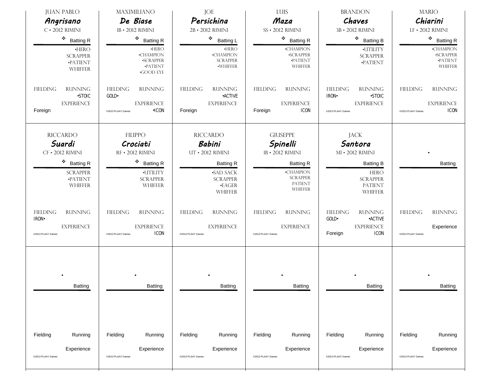| <b>JUAN PABLO</b><br>Angrisano                                                                  | <b>MAXIMILIANO</b><br>De Biase                                                             | JOE<br>Persichina                                                                         | LUIS<br>Maza                                                                                | <b>BRANDON</b><br>Chaves                                                                                    | <b>MARIO</b><br>Chiarini                                             |  |
|-------------------------------------------------------------------------------------------------|--------------------------------------------------------------------------------------------|-------------------------------------------------------------------------------------------|---------------------------------------------------------------------------------------------|-------------------------------------------------------------------------------------------------------------|----------------------------------------------------------------------|--|
| $C \cdot 2012$ RIMINI                                                                           | 1B · 2012 RIMINI                                                                           | 2B · 2012 RIMINI                                                                          | SS · 2012 RIMINI                                                                            | 3B · 2012 RIMINI                                                                                            | LF · 2012 RIMINI                                                     |  |
| ٠<br><b>Batting R</b>                                                                           | ۰<br><b>Batting R</b>                                                                      | ❖<br><b>Batting L</b>                                                                     | $\bullet$ Batting R                                                                         | ٠<br><b>Batting B</b>                                                                                       | $\div$ Batting R                                                     |  |
| $\cdot$ HERO<br><b>SCRAPPER</b><br>$\cdot$ PATIENT<br>WHIFFER                                   | $\cdot$ HERO<br><b>-CHAMPION</b><br>·SCRAPPER<br>·PATIENT<br><b>•GOOD EYE</b>              | $\cdot$ HERO<br>$\cdot$ CHAMPION<br><b>SCRAPPER</b><br>·WHIFFER                           | <b>-CHAMPION</b><br><b>SCRAPPER</b><br>·PATIENT<br><b>WHIFFER</b>                           | ·UTILITY<br><b>SCRAPPER</b><br>·PATIENT                                                                     | $\cdot$ CHAMPION<br><b>-SCRAPPER</b><br>$\cdot$ PATIENT<br>WHIFFER   |  |
| <b>FIELDING</b><br><b>RUNNING</b><br><b>-STOIC</b>                                              | <b>FIELDING</b><br><b>RUNNING</b><br>$GOLD-$                                               | <b>FIELDING</b><br><b>RUNNING</b><br><b>•ACTIVE</b>                                       | <b>FIELDING</b><br><b>RUNNING</b>                                                           | <b>FIELDING</b><br><b>RUNNING</b><br><b>IRON</b><br><b>-STOIC</b>                                           | <b>FIELDING</b><br><b>RUNNING</b>                                    |  |
| <b>EXPERIENCE</b><br>Foreign                                                                    | <b>EXPERIENCE</b><br>$\cdot$ ICON<br>@2013 PLAAY Games                                     | <b>EXPERIENCE</b><br>Foreign                                                              | <b>EXPERIENCE</b><br><b>ICON</b><br>Foreign                                                 | <b>EXPERIENCE</b><br>@2013 PLAAY Games                                                                      | <b>EXPERIENCE</b><br><b>ICON</b><br>@2013 PLAAY Games                |  |
| <b>RICCARDO</b><br><b>FILIPPO</b><br>Suardi<br>Crociati<br>CF · 2012 RIMINI<br>RF • 2012 RIMINI |                                                                                            | <b>RICCARDO</b><br><b>Babini</b><br>UT · 2012 RIMINI                                      | <b>GIUSEPPE</b><br>Spinelli<br>1B · 2012 RIMINI                                             | <b>JACK</b><br>Santora<br>MI • 2012 RIMINI                                                                  |                                                                      |  |
| ٠<br><b>Batting R</b><br><b>SCRAPPER</b><br><b>•PATIENT</b><br>WHIFFER                          | ۰<br><b>Batting R</b><br>·UTILITY<br><b>SCRAPPER</b><br><b>WHIFFER</b>                     | <b>Batting R</b><br><b>SAD SACK</b><br><b>SCRAPPER</b><br>$\cdot$ EAGER<br><b>WHIFFER</b> | <b>Batting R</b><br><b>-CHAMPION</b><br><b>SCRAPPER</b><br><b>PATIENT</b><br><b>WHIFFER</b> | <b>Batting B</b><br><b>HERO</b><br><b>SCRAPPER</b><br><b>PATIENT</b><br><b>WHIFFER</b>                      | <b>Batting</b>                                                       |  |
| <b>FIELDING</b><br><b>RUNNING</b><br><b>IRON</b><br><b>EXPERIENCE</b><br>@2013 PLAAY Games      | <b>FIELDING</b><br><b>RUNNING</b><br><b>EXPERIENCE</b><br><b>ICON</b><br>@2013 PLAAY Games | <b>FIELDING</b><br><b>RUNNING</b><br><b>EXPERIENCE</b><br>@2013 PLAAY Games               | <b>FIELDING</b><br><b>RUNNING</b><br><b>EXPERIENCE</b><br>@2013 PLAAY Games                 | <b>RUNNING</b><br><b>FIELDING</b><br>GOLD-<br><b>-ACTIVE</b><br><b>EXPERIENCE</b><br><b>ICON</b><br>Foreign | <b>FIELDING</b><br><b>RUNNING</b><br>Experience<br>@2013 PLAAY Games |  |
| Batting                                                                                         | Batting                                                                                    | Batting                                                                                   | Batting                                                                                     | Batting                                                                                                     | Batting                                                              |  |
| Fielding<br>Running<br>Experience<br>@2013 PLAAY Games                                          | Fielding<br>Running<br>Experience<br>@2013 PLAAY Games                                     | Fielding<br>Running<br>Experience<br>@2013 PLAAY Games                                    | Fielding<br>Running<br>Experience<br>@2013 PLAAY Games                                      | Fielding<br>Running<br>Experience<br>@2013 PLAAY Games                                                      | Fielding<br>Running<br>Experience<br>@2013 PLAAY Games               |  |
|                                                                                                 |                                                                                            |                                                                                           |                                                                                             |                                                                                                             |                                                                      |  |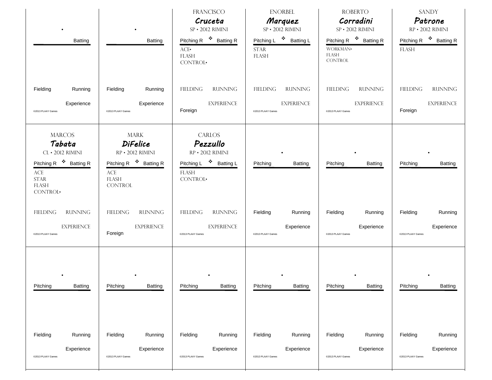|                                                                                                                             |                                                                                        | <b>FRANCISCO</b><br>Cruceta<br>SP · 2012 RIMINI                       | <b>ENORBEL</b><br>Marquez<br>SP · 2012 RIMINI                    | <b>ROBERTO</b><br>Corradini<br>SP · 2012 RIMINI                                  | <b>SANDY</b><br>Patrone<br>RP · 2012 RIMINI        |  |
|-----------------------------------------------------------------------------------------------------------------------------|----------------------------------------------------------------------------------------|-----------------------------------------------------------------------|------------------------------------------------------------------|----------------------------------------------------------------------------------|----------------------------------------------------|--|
| Batting                                                                                                                     | Batting                                                                                | Pitching R <sup>\$</sup> Batting R<br>ACE<br><b>FLASH</b><br>CONTROL. | Pitching L <sup>*</sup> Batting L<br><b>STAR</b><br><b>FLASH</b> | Pitching R <sup>\$</sup> Batting R<br>WORKMAN.<br><b>FLASH</b><br><b>CONTROL</b> | Pitching R <sup>\$</sup> Batting R<br><b>FLASH</b> |  |
| Fielding                                                                                                                    | Fielding                                                                               | <b>FIELDING</b>                                                       | <b>FIELDING</b>                                                  | <b>RUNNING</b>                                                                   | <b>FIELDING</b>                                    |  |
| Running                                                                                                                     | Running                                                                                | <b>RUNNING</b>                                                        | <b>RUNNING</b>                                                   | <b>FIELDING</b>                                                                  | <b>RUNNING</b>                                     |  |
| Experience                                                                                                                  | Experience                                                                             | <b>EXPERIENCE</b>                                                     | <b>EXPERIENCE</b>                                                | <b>EXPERIENCE</b>                                                                | <b>EXPERIENCE</b>                                  |  |
| @2013 PLAAY Games                                                                                                           | @2013 PLAAY Games                                                                      | Foreign                                                               | @2013 PLAAY Games                                                | @2013 PLAAY Games                                                                | Foreign                                            |  |
| <b>MARCOS</b><br>Tabata<br>CL · 2012 RIMINI                                                                                 | <b>MARK</b><br><b>DiFelice</b><br>RP · 2012 RIMINI                                     | <b>CARLOS</b><br>Pezzullo<br>RP · 2012 RIMINI                         |                                                                  |                                                                                  |                                                    |  |
| Pitching R <sup>\$</sup> Batting R<br>$\ensuremath{\text{ACE}}$<br>$\ensuremath{\mathrm{STAR}}$<br><b>FLASH</b><br>CONTROL. | Pitching R <sup>\$</sup> Batting R<br>$\mathbf{ACE}$<br><b>FLASH</b><br><b>CONTROL</b> | Pitching L <sup>❖</sup> Batting L<br><b>FLASH</b><br>CONTROL·         | Pitching<br>Batting                                              | Pitching<br><b>Batting</b>                                                       | Pitching<br><b>Batting</b>                         |  |
| <b>RUNNING</b>                                                                                                              | <b>RUNNING</b>                                                                         | <b>FIELDING</b>                                                       | Fielding                                                         | Fielding                                                                         | Fielding                                           |  |
| <b>FIELDING</b>                                                                                                             | <b>FIELDING</b>                                                                        | <b>RUNNING</b>                                                        | Running                                                          | Running                                                                          | Running                                            |  |
| <b>EXPERIENCE</b>                                                                                                           | <b>EXPERIENCE</b>                                                                      | <b>EXPERIENCE</b>                                                     | Experience                                                       | Experience                                                                       | Experience                                         |  |
| @2013 PLAAY Games                                                                                                           | Foreign                                                                                | @2013 PLAAY Games                                                     | @2013 PLAAY Games                                                | @2013 PLAAY Games                                                                | @2013 PLAAY Games                                  |  |
| Pitching                                                                                                                    | Pitching                                                                               | Pitching                                                              | Pitching                                                         | Pitching                                                                         | Pitching                                           |  |
| Batting                                                                                                                     | Batting                                                                                | Batting                                                               | Batting                                                          | Batting                                                                          | Batting                                            |  |
|                                                                                                                             |                                                                                        |                                                                       |                                                                  |                                                                                  |                                                    |  |
| Fielding                                                                                                                    | Fielding                                                                               | Fielding                                                              | Fielding                                                         | Fielding                                                                         | Fielding                                           |  |
| Running                                                                                                                     | Running                                                                                | Running                                                               | Running                                                          | Running                                                                          | Running                                            |  |
| Experience                                                                                                                  | Experience                                                                             | Experience                                                            | Experience                                                       | Experience                                                                       | Experience                                         |  |
| @2013 PLAAY Games                                                                                                           | @2013 PLAAY Games                                                                      | @2013 PLAAY Games                                                     | @2013 PLAAY Games                                                | @2013 PLAAY Games                                                                | @2013 PLAAY Games                                  |  |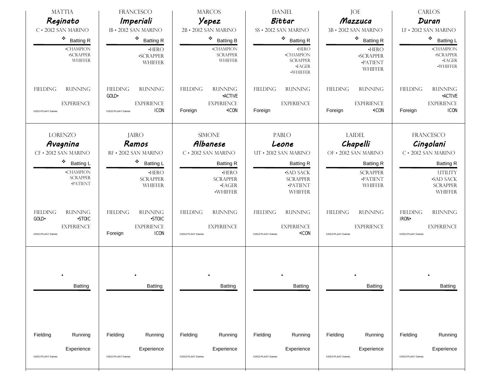| <b>MATTIA</b><br>Reginato                                                                             | <b>FRANCESCO</b><br>Imperiali                                                                     | <b>MARCOS</b><br>Yepez                                                           | <b>DANIEL</b><br>Bittar                                                                     | JOE<br>Mazzuca                                                              | CARLOS<br>Duran                                                                             |  |  |
|-------------------------------------------------------------------------------------------------------|---------------------------------------------------------------------------------------------------|----------------------------------------------------------------------------------|---------------------------------------------------------------------------------------------|-----------------------------------------------------------------------------|---------------------------------------------------------------------------------------------|--|--|
| $C \cdot 2012$ SAN MARINO                                                                             | 1B · 2012 SAN MARINO                                                                              | 2B · 2012 SAN MARINO                                                             | SS · 2012 SAN MARINO                                                                        | 3B · 2012 SAN MARINO                                                        | LF . 2012 SAN MARINO                                                                        |  |  |
| ٠<br><b>Batting R</b>                                                                                 | 樂<br><b>Batting R</b>                                                                             | ❖ Batting B                                                                      | $\bullet$ Batting R                                                                         | $\bullet$ Batting R                                                         | ٠<br><b>Batting L</b>                                                                       |  |  |
| •CHAMPION<br><b>SCRAPPER</b><br>WHIFFER                                                               | $\cdot$ HERO<br><b>-SCRAPPER</b><br><b>WHIFFER</b>                                                | $\cdot$ CHAMPION<br><b>SCRAPPER</b><br><b>WHIFFER</b>                            | $\cdot$ HERO<br>$\bullet$ CHAMPION<br><b>SCRAPPER</b><br>$\cdot$ EAGER<br>·WHIFFER          | $\cdot$ HERO<br><b>-SCRAPPER</b><br>·PATIENT<br><b>WHIFFER</b>              | <b>•CHAMPION</b><br><b>SCRAPPER</b><br>$\cdot$ EAGER<br>·WHIFFER                            |  |  |
| <b>FIELDING</b><br><b>RUNNING</b>                                                                     | <b>RUNNING</b><br><b>FIELDING</b><br>GOLD.                                                        | <b>RUNNING</b><br><b>FIELDING</b><br><b>•ACTIVE</b>                              | <b>FIELDING</b><br><b>RUNNING</b>                                                           | <b>FIELDING</b><br><b>RUNNING</b>                                           | <b>FIELDING</b><br><b>RUNNING</b><br><b>•ACTIVE</b>                                         |  |  |
| <b>EXPERIENCE</b><br>@2013 PLAAY Games                                                                | <b>EXPERIENCE</b><br><b>ICON</b><br>@2013 PLAAY Games                                             | <b>EXPERIENCE</b><br>Foreign<br>$\cdot$ ICON                                     | <b>EXPERIENCE</b><br>Foreign                                                                | <b>EXPERIENCE</b><br>Foreign<br>$-ICON$                                     | <b>EXPERIENCE</b><br>Foreign<br><b>ICON</b>                                                 |  |  |
| <b>LORENZO</b><br><b>JAIRO</b><br>Avagnina<br>Ramos<br>CF · 2012 SAN MARINO<br>RF · 2012 SAN MARINO   |                                                                                                   | <b>SIMONE</b><br>Albanese<br>$C \cdot 2012$ SAN MARINO                           | PABLO<br>Leone<br>UT · 2012 SAN MARINO                                                      | <b>LAIDEL</b><br>Chapelli<br>OF . 2012 SAN MARINO                           | FRANCESCO<br>Cingolani<br>$C \cdot 2012$ SAN MARINO                                         |  |  |
| ٠<br><b>Batting L</b><br>•CHAMPION<br><b>SCRAPPER</b><br>·PATIENT                                     | ۰<br><b>Batting L</b><br>$\cdot$ HERO<br><b>SCRAPPER</b><br><b>WHIFFER</b>                        | <b>Batting R</b><br>$\cdot$ HERO<br><b>SCRAPPER</b><br>$\cdot$ EAGER<br>·WHIFFER | <b>Batting R</b><br><b>SAD SACK</b><br><b>SCRAPPER</b><br>·PATIENT<br><b>WHIFFER</b>        | <b>Batting R</b><br><b>SCRAPPER</b><br>·PATIENT<br><b>WHIFFER</b>           | <b>Batting R</b><br><b>UTILITY</b><br><b>-SAD SACK</b><br><b>SCRAPPER</b><br><b>WHIFFER</b> |  |  |
| <b>RUNNING</b><br><b>FIELDING</b><br><b>-STOIC</b><br>GOLD-<br><b>EXPERIENCE</b><br>@2013 PLAAY Games | <b>FIELDING</b><br><b>RUNNING</b><br><b>-STOIC</b><br><b>EXPERIENCE</b><br><b>ICON</b><br>Foreign | <b>FIELDING</b><br><b>RUNNING</b><br><b>EXPERIENCE</b><br>@2013 PLAAY Games      | <b>RUNNING</b><br><b>FIELDING</b><br><b>EXPERIENCE</b><br>$\cdot$ ICON<br>@2013 PLAAY Games | <b>FIELDING</b><br><b>RUNNING</b><br><b>EXPERIENCE</b><br>@2013 PLAAY Games | <b>FIELDING</b><br><b>RUNNING</b><br><b>IRON</b><br><b>EXPERIENCE</b><br>@2013 PLAAY Games  |  |  |
| Batting                                                                                               | Batting                                                                                           | Batting                                                                          | Batting                                                                                     | Batting                                                                     | Batting                                                                                     |  |  |
| Fielding<br>Running                                                                                   | Fielding<br>Running                                                                               | Fielding<br>Running                                                              | Fielding<br>Running                                                                         | Fielding<br>Running                                                         | Fielding<br>Running                                                                         |  |  |
| Experience<br>@2013 PLAAY Games                                                                       | Experience<br>@2013 PLAAY Games                                                                   | Experience<br>@2013 PLAAY Games                                                  | Experience<br>@2013 PLAAY Games                                                             | Experience<br>@2013 PLAAY Games                                             | Experience<br>@2013 PLAAY Games                                                             |  |  |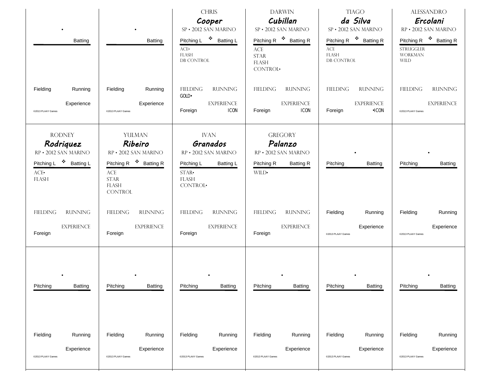| Batting                                                                                                         | Batting                                                                                                                                                       | <b>CHRIS</b><br>Cooper<br>SP · 2012 SAN MARINO<br>Pitching L <sup>\$</sup> Batting L<br>ACE<br><b>FLASH</b><br>DB CONTROL | <b>DARWIN</b><br>Cubillan<br>SP · 2012 SAN MARINO<br>Pitching R <sup>\$</sup> Batting R<br>$\mathbf{ACE}$<br><b>STAR</b><br><b>FLASH</b><br>CONTROL. | <b>TIAGO</b><br>da Silva<br>SP · 2012 SAN MARINO<br>Pitching R <sup>\$</sup> Batting R<br>ACE<br><b>FLASH</b><br><b>DB CONTROL</b> | <b>ALESSANDRO</b><br>Ercolani<br>RP · 2012 SAN MARINO<br>Pitching R <sup>\$</sup> Batting R<br><b>STRUGGLER</b><br><b>WORKMAN</b><br><b>WILD</b> |
|-----------------------------------------------------------------------------------------------------------------|---------------------------------------------------------------------------------------------------------------------------------------------------------------|---------------------------------------------------------------------------------------------------------------------------|------------------------------------------------------------------------------------------------------------------------------------------------------|------------------------------------------------------------------------------------------------------------------------------------|--------------------------------------------------------------------------------------------------------------------------------------------------|
| Fielding<br>Running<br>Experience<br>@2013 PLAAY Games                                                          | Fielding<br>Running<br>Experience<br>@2013 PLAAY Games                                                                                                        | <b>FIELDING</b><br><b>RUNNING</b><br>GOLD.<br><b>EXPERIENCE</b><br>Foreign<br><b>ICON</b>                                 | <b>FIELDING</b><br><b>RUNNING</b><br><b>EXPERIENCE</b><br>Foreign<br><b>ICON</b>                                                                     | <b>FIELDING</b><br><b>RUNNING</b><br><b>EXPERIENCE</b><br>$\cdot$ ICON<br>Foreign                                                  | <b>FIELDING</b><br><b>RUNNING</b><br><b>EXPERIENCE</b><br>@2013 PLAAY Games                                                                      |
| <b>RODNEY</b><br>Rodriquez<br>RP · 2012 SAN MARINO<br>Pitching L <sup>❖</sup> Batting L<br>ACE.<br><b>FLASH</b> | YULMAN<br>Ribeiro<br>RP · 2012 SAN MARINO<br>Pitching R <sup>\$</sup> Batting R<br>$\ensuremath{\text{ACE}}$<br><b>STAR</b><br><b>FLASH</b><br><b>CONTROL</b> | <b>IVAN</b><br>Granados<br>RP . 2012 SAN MARINO<br>Pitching L<br><b>Batting L</b><br>$STAR-$<br><b>FLASH</b><br>CONTROL·  | <b>GREGORY</b><br>Palanzo<br>RP . 2012 SAN MARINO<br>Pitching R<br><b>Batting R</b><br>WILD•                                                         | Pitching<br><b>Batting</b>                                                                                                         | Pitching<br><b>Batting</b>                                                                                                                       |
| <b>RUNNING</b>                                                                                                  | <b>RUNNING</b>                                                                                                                                                | <b>FIELDING</b>                                                                                                           | FIELDING                                                                                                                                             | Fielding                                                                                                                           | Running                                                                                                                                          |
| <b>FIELDING</b>                                                                                                 | <b>FIELDING</b>                                                                                                                                               | <b>RUNNING</b>                                                                                                            | <b>RUNNING</b>                                                                                                                                       | Running                                                                                                                            | Fielding                                                                                                                                         |
| <b>EXPERIENCE</b>                                                                                               | <b>EXPERIENCE</b>                                                                                                                                             | <b>EXPERIENCE</b>                                                                                                         | <b>EXPERIENCE</b>                                                                                                                                    | Experience                                                                                                                         | Experience                                                                                                                                       |
| Foreign                                                                                                         | Foreign                                                                                                                                                       | Foreign                                                                                                                   | Foreign                                                                                                                                              | @2013 PLAAY Games                                                                                                                  | @2013 PLAAY Games                                                                                                                                |
| Pitching                                                                                                        | Pitching                                                                                                                                                      | Pitching                                                                                                                  | Pitching                                                                                                                                             | Pitching                                                                                                                           | Pitching                                                                                                                                         |
| Batting                                                                                                         | Batting                                                                                                                                                       | Batting                                                                                                                   | Batting                                                                                                                                              | Batting                                                                                                                            | Batting                                                                                                                                          |
| Fielding                                                                                                        | Fielding                                                                                                                                                      | Fielding                                                                                                                  | Fielding                                                                                                                                             | Fielding                                                                                                                           | Fielding                                                                                                                                         |
| Running                                                                                                         | Running                                                                                                                                                       | Running                                                                                                                   | Running                                                                                                                                              | Running                                                                                                                            | Running                                                                                                                                          |
| Experience                                                                                                      | Experience                                                                                                                                                    | Experience                                                                                                                | Experience                                                                                                                                           | Experience                                                                                                                         | Experience                                                                                                                                       |
| @2013 PLAAY Games                                                                                               | @2013 PLAAY Games                                                                                                                                             | @2013 PLAAY Games                                                                                                         | @2013 PLAAY Games                                                                                                                                    | @2013 PLAAY Games                                                                                                                  | @2013 PLAAY Games                                                                                                                                |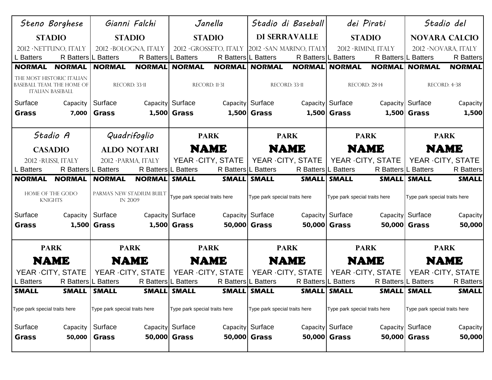|                                                                                                     | Steno Borghese                 | Gianni Falchi                 |                                       | Janella                                                        |                                                 |                               | Stadio di Baseball            |                               | dei Pirati           | Stadio del                    |                      |
|-----------------------------------------------------------------------------------------------------|--------------------------------|-------------------------------|---------------------------------------|----------------------------------------------------------------|-------------------------------------------------|-------------------------------|-------------------------------|-------------------------------|----------------------|-------------------------------|----------------------|
|                                                                                                     | <b>STADIO</b><br><b>STADIO</b> |                               | <b>DI SERRAVALLE</b><br><b>STADIO</b> |                                                                | <b>STADIO</b>                                   |                               | <b>NOVARA CALCIO</b>          |                               |                      |                               |                      |
|                                                                                                     | 2012 · NETTUNO, ITALY          | 2012 · BOLOGNA, ITALY         |                                       |                                                                | 2012 · GROSSETO, ITALY 2012 · SAN MARINO, ITALY |                               |                               |                               | 2012 · RIMINI, ITALY |                               | 2012 · NOVARA, ITALY |
| L Batters                                                                                           | R Batters L Batters            |                               | R Batters L Batters                   |                                                                | R Batters L Batters                             |                               | R Batters L Batters           |                               | R Batters L Batters  |                               | <b>R</b> Batters     |
| <b>NORMAL</b>                                                                                       | <b>NORMAL</b>                  | <b>NORMAL</b>                 |                                       | <b>NORMAL NORMAL</b>                                           | <b>NORMAL NORMAL</b>                            |                               | <b>NORMAL</b>                 | <b>NORMAL</b>                 | <b>NORMAL</b>        | <b>NORMAL</b>                 | <b>NORMAL</b>        |
| THE MOST HISTORIC ITALIAN<br>RECORD: 33-11<br>BASEBALL TEAM. THE HOME OF<br><b>ITALIAN BASEBALL</b> |                                |                               | RECORD: 11-31                         |                                                                | RECORD: 33-11                                   |                               | RECORD: 28-14                 |                               | RECORD: 4-38         |                               |                      |
| Surface                                                                                             | Capacity                       | Surface                       |                                       | Capacity Surface                                               |                                                 | Capacity Surface              |                               | Capacity Surface              |                      | Capacity Surface              | Capacity             |
| <b>Grass</b>                                                                                        | 7,000                          | <b>Grass</b>                  |                                       | 1,500 Grass                                                    |                                                 | 1,500 Grass                   |                               | 1,500 Grass                   |                      | 1,500 Grass                   | 1,500                |
|                                                                                                     |                                |                               |                                       |                                                                |                                                 |                               |                               |                               |                      |                               |                      |
| Stadio A<br>Quadrifoglio                                                                            |                                |                               | <b>PARK</b>                           |                                                                | <b>PARK</b>                                     |                               | <b>PARK</b><br><b>PARK</b>    |                               |                      |                               |                      |
|                                                                                                     | <b>CASADIO</b>                 | <b>ALDO NOTARI</b>            |                                       |                                                                | <b>NAME</b>                                     | <b>NAME</b>                   |                               | <b>NAME</b>                   |                      | NAME                          |                      |
|                                                                                                     | 2012 · RUSSI, ITALY            | 2012 · PARMA, ITALY           |                                       |                                                                | YEAR - CITY, STATE                              |                               | YEAR - CITY, STATE            |                               | YEAR - CITY, STATE   |                               | YEAR - CITY, STATE   |
| L Batters                                                                                           | R Batters L Batters            |                               | R Batters L Batters                   |                                                                | R Batters L Batters                             |                               | R Batters L Batters           |                               | R Batters L Batters  |                               | <b>R</b> Batters     |
| <b>NORMAL</b>                                                                                       | <b>NORMAL</b>                  | <b>NORMAL</b>                 | <b>NORMAL SMALL</b>                   |                                                                |                                                 | SMALL SMALL                   | <b>SMALL SMALL</b>            |                               |                      | SMALL SMALL                   | <b>SMALL</b>         |
| HOME OF THE GODO<br>PARMA'S NEW STADIUM BUILT<br><b>IN 2009</b><br><b>KNIGHTS</b>                   |                                | Type park special traits here |                                       | Type park special traits here<br>Type park special traits here |                                                 |                               | Type park special traits here |                               |                      |                               |                      |
| Surface                                                                                             | Capacity                       | Surface                       |                                       | Capacity Surface                                               |                                                 | Capacity Surface              |                               | Capacity Surface              |                      | Capacity Surface              | Capacity             |
| <b>Grass</b>                                                                                        |                                | 1,500 Grass                   |                                       | 1,500 Grass                                                    |                                                 | 50,000 Grass                  | 50,000 Grass                  |                               |                      | 50,000 Grass                  | 50,000               |
|                                                                                                     |                                |                               |                                       |                                                                |                                                 |                               |                               |                               |                      |                               |                      |
|                                                                                                     | <b>PARK</b>                    | <b>PARK</b>                   |                                       |                                                                | <b>PARK</b>                                     |                               | <b>PARK</b>                   |                               | <b>PARK</b>          | <b>PARK</b>                   |                      |
|                                                                                                     | <b>NAME</b><br><b>NAME</b>     |                               |                                       |                                                                | <b>NAME</b>                                     | <b>NAME</b>                   |                               |                               | <b>NAME</b>          |                               | <b>NAME</b>          |
|                                                                                                     | YEAR - CITY, STATE             | YEAR - CITY, STATE            |                                       |                                                                | YEAR - CITY, STATE                              |                               | YEAR - CITY, STATE            |                               | YEAR - CITY, STATE   |                               | YEAR - CITY, STATE   |
| L Batters                                                                                           | R Batters L Batters            |                               | R Batters L Batters                   |                                                                | R Batters L Batters                             |                               | R Batters L Batters           |                               | R Batters L Batters  |                               | <b>R</b> Batters     |
| <b>SMALL</b>                                                                                        | SMALL   SMALL                  |                               |                                       | SMALL SMALL                                                    |                                                 | SMALL SMALL                   | SMALL SMALL                   |                               |                      | <b>SMALL SMALL</b>            | <b>SMALL</b>         |
| Type park special traits here                                                                       |                                | Type park special traits here |                                       | Type park special traits here                                  |                                                 | Type park special traits here |                               | Type park special traits here |                      | Type park special traits here |                      |
| Surface                                                                                             | Capacity                       | Surface                       |                                       | Capacity Surface                                               |                                                 | Capacity Surface              |                               | Capacity Surface              |                      | Capacity Surface              | Capacity             |
| Grass                                                                                               | 50,000                         | <b>Grass</b>                  |                                       | 50,000 Grass                                                   |                                                 | 50,000 Grass                  |                               | 50,000 Grass                  |                      | 50,000 Grass                  | 50,000               |
|                                                                                                     |                                |                               |                                       |                                                                |                                                 |                               |                               |                               |                      |                               |                      |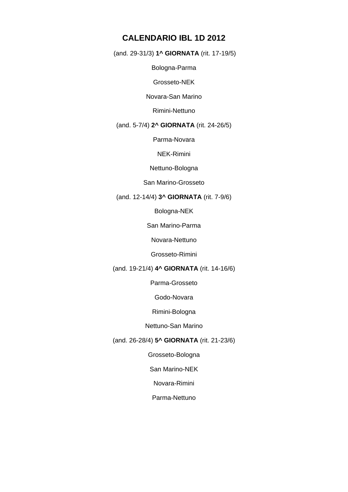## **CALENDARIO IBL 1D 2012**

(and. 29-31/3) **1^ GIORNATA** (rit. 17-19/5)

Bologna-Parma

Grosseto-NEK

Novara-San Marino

Rimini-Nettuno

#### (and. 5-7/4) **2^ GIORNATA** (rit. 24-26/5)

Parma-Novara

NEK-Rimini

Nettuno-Bologna

#### San Marino-Grosseto

#### (and. 12-14/4) **3^ GIORNATA** (rit. 7-9/6)

Bologna-NEK

San Marino-Parma

Novara-Nettuno

Grosseto-Rimini

#### (and. 19-21/4) **4^ GIORNATA** (rit. 14-16/6)

Parma-Grosseto

Godo-Novara

Rimini-Bologna

Nettuno-San Marino

#### (and. 26-28/4) **5^ GIORNATA** (rit. 21-23/6)

Grosseto-Bologna

San Marino-NEK

Novara-Rimini

Parma-Nettuno